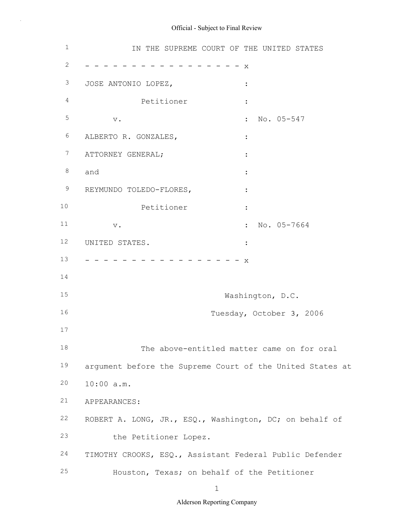# 1 2 3 4 5 6 7 ATTORNEY GENERAL; : 8 9 10 11 12 13 14 15 16 17 18 19 20 21 22 ROBERT A. LONG, JR., ESQ., Washington, DC; on behalf of 23 24 25 IN THE SUPREME COURT OF THE UNITED STATES - - - - - - - - - - - - - - - - - x JOSE ANTONIO LOPEZ, : Petitioner : v. No. 05-547 ALBERTO R. GONZALES,  $\qquad \qquad :$ and  $\qquad \qquad :$ REYMUNDO TOLEDO-FLORES,  $\cdot$ Petitioner : v. South that the set of the set of the set of the set of the set of the set of the set of the set of the set o UNITED STATES. - - - - - - - - - - - - - - - - - x Washington, D.C. Tuesday, October 3, 2006 The above-entitled matter came on for oral argument before the Supreme Court of the United States at 10:00 a.m. APPEARANCES: the Petitioner Lopez. TIMOTHY CROOKS, ESQ., Assistant Federal Public Defender Houston, Texas; on behalf of the Petitioner

Official - Subject to Final Review

1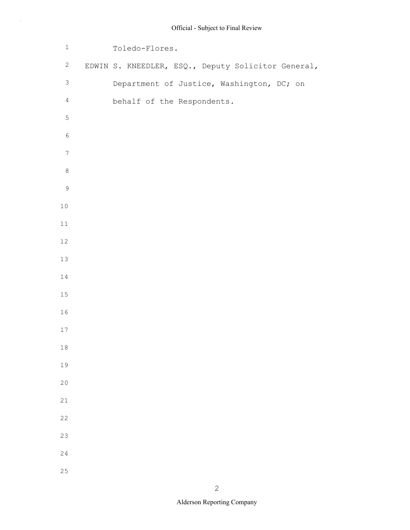| $\mathbf 1$      | Toledo-Flores.                                     |  |  |  |  |
|------------------|----------------------------------------------------|--|--|--|--|
| $\mathbf{2}$     | EDWIN S. KNEEDLER, ESQ., Deputy Solicitor General, |  |  |  |  |
| $\mathsf 3$      | Department of Justice, Washington, DC; on          |  |  |  |  |
| $\overline{4}$   | behalf of the Respondents.                         |  |  |  |  |
| $\mathsf S$      |                                                    |  |  |  |  |
| $\epsilon$       |                                                    |  |  |  |  |
| $\boldsymbol{7}$ |                                                    |  |  |  |  |
| $\,8\,$          |                                                    |  |  |  |  |
| $\mathcal{G}$    |                                                    |  |  |  |  |
| $10$             |                                                    |  |  |  |  |
| $11$             |                                                    |  |  |  |  |
| $12\,$           |                                                    |  |  |  |  |
| 13               |                                                    |  |  |  |  |
| $14\,$           |                                                    |  |  |  |  |
| $15\,$           |                                                    |  |  |  |  |
| 16               |                                                    |  |  |  |  |
| $17$             |                                                    |  |  |  |  |
| $18$             |                                                    |  |  |  |  |
| 19               |                                                    |  |  |  |  |
| 20               |                                                    |  |  |  |  |
| 21               |                                                    |  |  |  |  |
| 22               |                                                    |  |  |  |  |
| 23               |                                                    |  |  |  |  |
| 24               |                                                    |  |  |  |  |
| 25               |                                                    |  |  |  |  |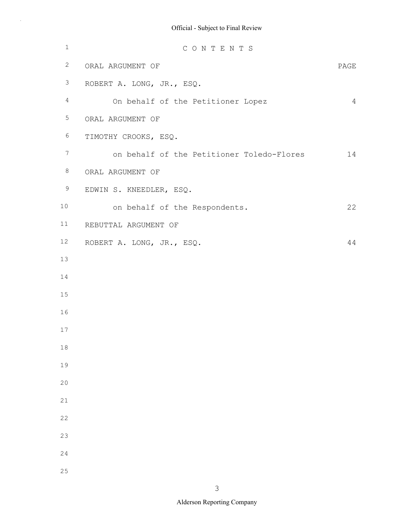| $1\,$            | CONTENTS                                  |                |
|------------------|-------------------------------------------|----------------|
| $\mathbf{2}$     | ORAL ARGUMENT OF                          | PAGE           |
| $\mathfrak{Z}$   | ROBERT A. LONG, JR., ESQ.                 |                |
| $\overline{4}$   | On behalf of the Petitioner Lopez         | $\overline{4}$ |
| 5                | ORAL ARGUMENT OF                          |                |
| $\epsilon$       | TIMOTHY CROOKS, ESQ.                      |                |
| $\boldsymbol{7}$ | on behalf of the Petitioner Toledo-Flores | 14             |
| $\,8\,$          | ORAL ARGUMENT OF                          |                |
| $\mathsf 9$      | EDWIN S. KNEEDLER, ESQ.                   |                |
| 10               | on behalf of the Respondents.             | 22             |
| 11               | REBUTTAL ARGUMENT OF                      |                |
| 12               | ROBERT A. LONG, JR., ESQ.                 | 44             |
| 13               |                                           |                |
| 14               |                                           |                |
| 15               |                                           |                |
| 16               |                                           |                |
| $17$             |                                           |                |
| $18\,$           |                                           |                |
| 19               |                                           |                |
| 20               |                                           |                |
| 21               |                                           |                |
| 22               |                                           |                |
| 23               |                                           |                |
| 24               |                                           |                |
| 25               |                                           |                |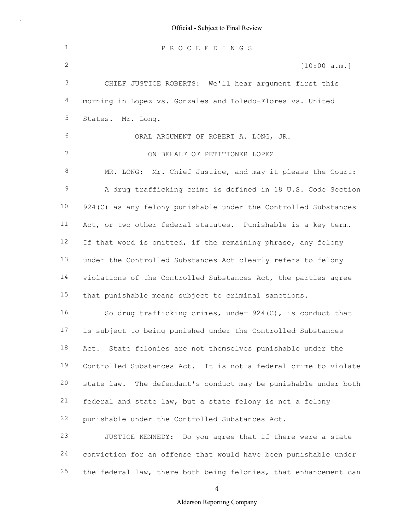| $\mathbf 1$  | PROCEEDINGS                                                      |
|--------------|------------------------------------------------------------------|
| $\mathbf{2}$ | [10:00 a.m.]                                                     |
| 3            | CHIEF JUSTICE ROBERTS: We'll hear argument first this            |
| 4            | morning in Lopez vs. Gonzales and Toledo-Flores vs. United       |
| 5            | States. Mr. Long.                                                |
| 6            | ORAL ARGUMENT OF ROBERT A. LONG, JR.                             |
| 7            | ON BEHALF OF PETITIONER LOPEZ                                    |
| 8            | MR. LONG: Mr. Chief Justice, and may it please the Court:        |
| $\mathsf 9$  | A drug trafficking crime is defined in 18 U.S. Code Section      |
| 10           | 924 (C) as any felony punishable under the Controlled Substances |
| 11           | Act, or two other federal statutes. Punishable is a key term.    |
| 12           | If that word is omitted, if the remaining phrase, any felony     |
| 13           | under the Controlled Substances Act clearly refers to felony     |
| 14           | violations of the Controlled Substances Act, the parties agree   |
| 15           | that punishable means subject to criminal sanctions.             |
| 16           | So drug trafficking crimes, under $924(C)$ , is conduct that     |
| 17           | is subject to being punished under the Controlled Substances     |
| 18           | Act. State felonies are not themselves punishable under the      |
| 19           | Controlled Substances Act. It is not a federal crime to violate  |
| 20           | state law. The defendant's conduct may be punishable under both  |
| 21           | federal and state law, but a state felony is not a felony        |
| 22           | punishable under the Controlled Substances Act.                  |
| 23           | JUSTICE KENNEDY: Do you agree that if there were a state         |
| 24           | conviction for an offense that would have been punishable under  |
| 25           | the federal law, there both being felonies, that enhancement can |

4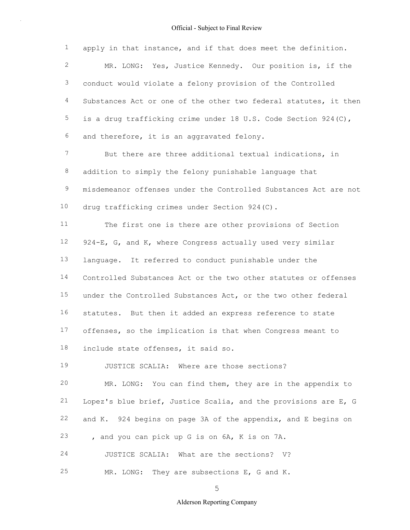1 2 3 4 5 6 7 8 9 10 11 12 13 14 apply in that instance, and if that does meet the definition. MR. LONG: Yes, Justice Kennedy. Our position is, if the conduct would violate a felony provision of the Controlled Substances Act or one of the other two federal statutes, it then is a drug trafficking crime under 18 U.S. Code Section 924(C), and therefore, it is an aggravated felony. But there are three additional textual indications, in addition to simply the felony punishable language that misdemeanor offenses under the Controlled Substances Act are not drug trafficking crimes under Section 924(C). The first one is there are other provisions of Section 924-E, G, and K, where Congress actually used very similar language. It referred to conduct punishable under the Controlled Substances Act or the two other statutes or offenses

15 16 17 18 under the Controlled Substances Act, or the two other federal statutes. But then it added an express reference to state offenses, so the implication is that when Congress meant to include state offenses, it said so.

19 JUSTICE SCALIA: Where are those sections?

20 21 22 23 24 MR. LONG: You can find them, they are in the appendix to Lopez's blue brief, Justice Scalia, and the provisions are E, G and K. 924 begins on page 3A of the appendix, and E begins on , and you can pick up G is on 6A, K is on 7A. JUSTICE SCALIA: What are the sections? V?

25 MR. LONG: They are subsections E, G and K.

5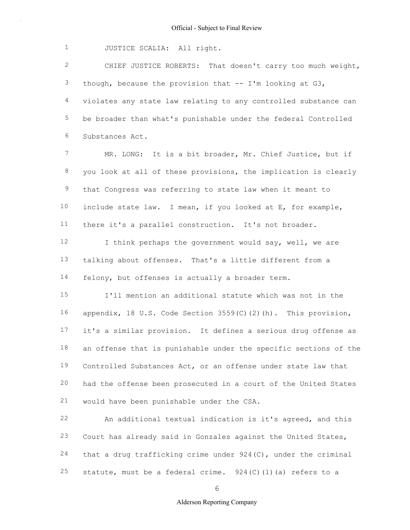1 JUSTICE SCALIA: All right.

2 3 4 5 6 CHIEF JUSTICE ROBERTS: That doesn't carry too much weight, though, because the provision that -- I'm looking at G3, violates any state law relating to any controlled substance can be broader than what's punishable under the federal Controlled Substances Act.

7 8 9 10 11 MR. LONG: It is a bit broader, Mr. Chief Justice, but if you look at all of these provisions, the implication is clearly that Congress was referring to state law when it meant to include state law. I mean, if you looked at E, for example, there it's a parallel construction. It's not broader.

12 13 14 I think perhaps the government would say, well, we are talking about offenses. That's a little different from a felony, but offenses is actually a broader term.

15 16 17 18 19 20 21 I'll mention an additional statute which was not in the appendix, 18 U.S. Code Section 3559(C)(2)(h). This provision, it's a similar provision. It defines a serious drug offense as an offense that is punishable under the specific sections of the Controlled Substances Act, or an offense under state law that had the offense been prosecuted in a court of the United States would have been punishable under the CSA.

22 23 24 25 An additional textual indication is it's agreed, and this Court has already said in Gonzales against the United States, that a drug trafficking crime under 924(C), under the criminal statute, must be a federal crime.  $924(C)(1)(a)$  refers to a

6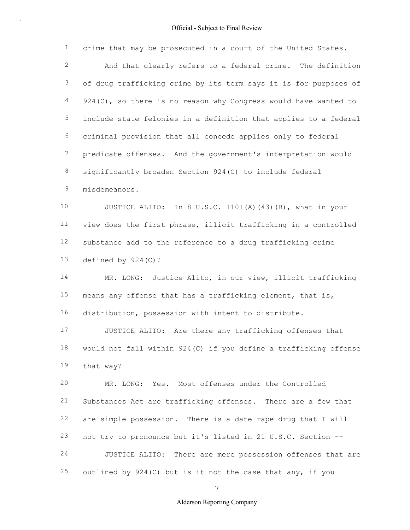| $\mathbf 1$     | crime that may be prosecuted in a court of the United States.      |  |  |  |
|-----------------|--------------------------------------------------------------------|--|--|--|
| $\mathbf{2}$    | And that clearly refers to a federal crime. The definition         |  |  |  |
| $\mathfrak{Z}$  | of drug trafficking crime by its term says it is for purposes of   |  |  |  |
| $\overline{4}$  | $924$ (C), so there is no reason why Congress would have wanted to |  |  |  |
| 5               | include state felonies in a definition that applies to a federal   |  |  |  |
| 6               | criminal provision that all concede applies only to federal        |  |  |  |
| $7\phantom{.}$  | predicate offenses. And the government's interpretation would      |  |  |  |
| $\,8\,$         | significantly broaden Section 924(C) to include federal            |  |  |  |
| 9               | misdemeanors.                                                      |  |  |  |
| 10 <sub>1</sub> | JUSTICE ALITO: In 8 U.S.C. 1101(A) (43) (B), what in your          |  |  |  |
| 11              | view does the first phrase, illicit trafficking in a controlled    |  |  |  |
| 12              | substance add to the reference to a drug trafficking crime         |  |  |  |
| 13              | defined by $924(C)$ ?                                              |  |  |  |
| 14              | MR. LONG: Justice Alito, in our view, illicit trafficking          |  |  |  |
| 15              | means any offense that has a trafficking element, that is,         |  |  |  |
| 16              | distribution, possession with intent to distribute.                |  |  |  |
| 17              | JUSTICE ALITO: Are there any trafficking offenses that             |  |  |  |
| 18              | would not fall within 924(C) if you define a trafficking offense   |  |  |  |
| 19              | that way?                                                          |  |  |  |
| 20              | MR. LONG: Yes. Most offenses under the Controlled                  |  |  |  |
| 21              | Substances Act are trafficking offenses. There are a few that      |  |  |  |
| 22              | are simple possession. There is a date rape drug that I will       |  |  |  |
| 23              | not try to pronounce but it's listed in 21 U.S.C. Section --       |  |  |  |
| 24              | JUSTICE ALITO: There are mere possession offenses that are         |  |  |  |
| 25              | outlined by 924(C) but is it not the case that any, if you         |  |  |  |

7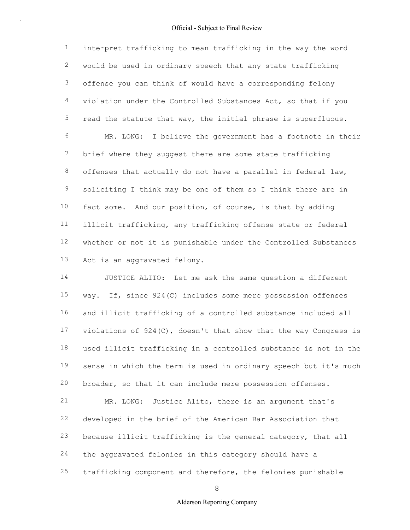1 2 3 4 5 6 7 8 9 10 11 12 13 interpret trafficking to mean trafficking in the way the word would be used in ordinary speech that any state trafficking offense you can think of would have a corresponding felony violation under the Controlled Substances Act, so that if you read the statute that way, the initial phrase is superfluous. MR. LONG: I believe the government has a footnote in their brief where they suggest there are some state trafficking offenses that actually do not have a parallel in federal law, soliciting I think may be one of them so I think there are in fact some. And our position, of course, is that by adding illicit trafficking, any trafficking offense state or federal whether or not it is punishable under the Controlled Substances Act is an aggravated felony.

14 15 16 17 18 19 20 JUSTICE ALITO: Let me ask the same question a different way. If, since 924(C) includes some mere possession offenses and illicit trafficking of a controlled substance included all violations of 924(C), doesn't that show that the way Congress is used illicit trafficking in a controlled substance is not in the sense in which the term is used in ordinary speech but it's much broader, so that it can include mere possession offenses.

21 22 23 24 25 MR. LONG: Justice Alito, there is an argument that's developed in the brief of the American Bar Association that because illicit trafficking is the general category, that all the aggravated felonies in this category should have a trafficking component and therefore, the felonies punishable

8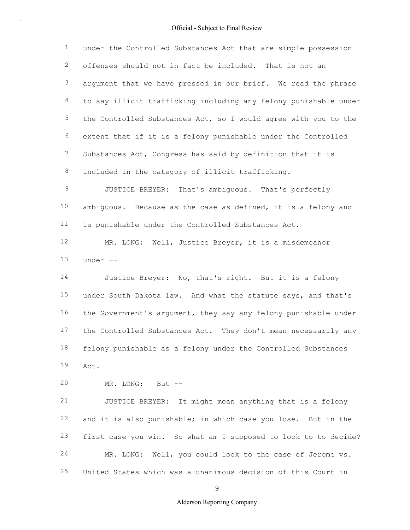1 2 3 4 5 6 7 8 under the Controlled Substances Act that are simple possession offenses should not in fact be included. That is not an argument that we have pressed in our brief. We read the phrase to say illicit trafficking including any felony punishable under the Controlled Substances Act, so I would agree with you to the extent that if it is a felony punishable under the Controlled Substances Act, Congress has said by definition that it is included in the category of illicit trafficking.

9 10 11 JUSTICE BREYER: That's ambiguous. That's perfectly ambiguous. Because as the case as defined, it is a felony and is punishable under the Controlled Substances Act.

12 13 MR. LONG: Well, Justice Breyer, it is a misdemeanor under --

14 15 16 17 18 19 Justice Breyer: No, that's right. But it is a felony under South Dakota law. And what the statute says, and that's the Government's argument, they say any felony punishable under the Controlled Substances Act. They don't mean necessarily any felony punishable as a felony under the Controlled Substances Act.

20 MR. LONG: But --

21 22 23 24 25 JUSTICE BREYER: It might mean anything that is a felony and it is also punishable; in which case you lose. But in the first case you win. So what am I supposed to look to to decide? MR. LONG: Well, you could look to the case of Jerome vs. United States which was a unanimous decision of this Court in

 $\mathsf{Q}$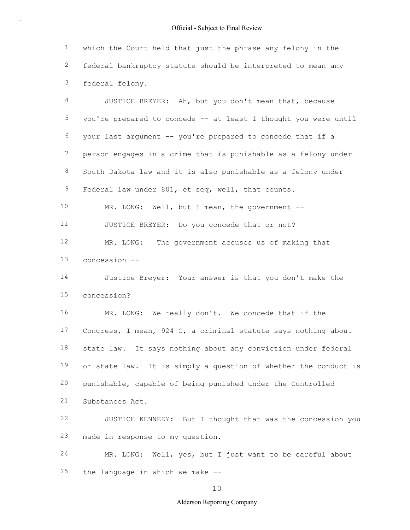1 2 3 which the Court held that just the phrase any felony in the federal bankruptcy statute should be interpreted to mean any federal felony.

4 5 6 7 8 9 JUSTICE BREYER: Ah, but you don't mean that, because you're prepared to concede -- at least I thought you were until your last argument -- you're prepared to concede that if a person engages in a crime that is punishable as a felony under South Dakota law and it is also punishable as a felony under Federal law under 801, et seq, well, that counts.

10 11 MR. LONG: Well, but I mean, the government --JUSTICE BREYER: Do you concede that or not?

12 13 MR. LONG: The government accuses us of making that concession --

14 15 Justice Breyer: Your answer is that you don't make the concession?

16 17 18 19 20 21 MR. LONG: We really don't. We concede that if the Congress, I mean, 924 C, a criminal statute says nothing about state law. It says nothing about any conviction under federal or state law. It is simply a question of whether the conduct is punishable, capable of being punished under the Controlled Substances Act.

22 23 JUSTICE KENNEDY: But I thought that was the concession you made in response to my question.

24 25 MR. LONG: Well, yes, but I just want to be careful about the language in which we make --

10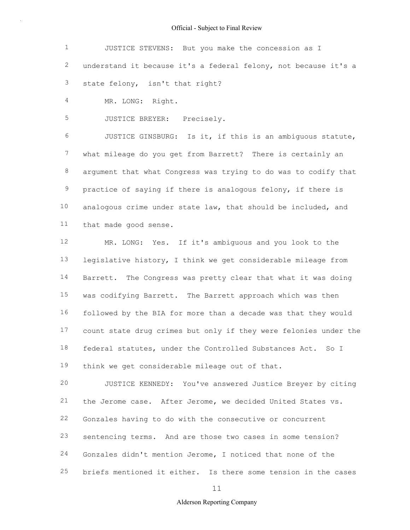| $1 \qquad \qquad$ | JUSTICE STEVENS: But you make the concession as I                 |
|-------------------|-------------------------------------------------------------------|
|                   | 2 understand it because it's a federal felony, not because it's a |
|                   | 3 state felony, isn't that right?                                 |

4 MR. LONG: Right.

5 JUSTICE BREYER: Precisely.

6 7 8 9 10 11 JUSTICE GINSBURG: Is it, if this is an ambiguous statute, what mileage do you get from Barrett? There is certainly an argument that what Congress was trying to do was to codify that practice of saying if there is analogous felony, if there is analogous crime under state law, that should be included, and that made good sense.

12 13 14 15 16 17 18 19 MR. LONG: Yes. If it's ambiguous and you look to the legislative history, I think we get considerable mileage from Barrett. The Congress was pretty clear that what it was doing was codifying Barrett. The Barrett approach which was then followed by the BIA for more than a decade was that they would count state drug crimes but only if they were felonies under the federal statutes, under the Controlled Substances Act. So I think we get considerable mileage out of that.

20 21 22 23 24 25 JUSTICE KENNEDY: You've answered Justice Breyer by citing the Jerome case. After Jerome, we decided United States vs. Gonzales having to do with the consecutive or concurrent sentencing terms. And are those two cases in some tension? Gonzales didn't mention Jerome, I noticed that none of the briefs mentioned it either. Is there some tension in the cases

11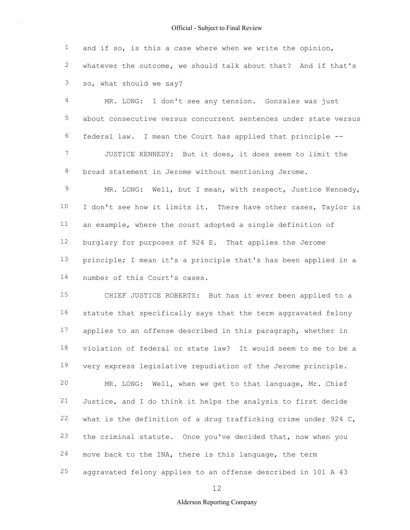1 2 3 and if so, is this a case where when we write the opinion, whatever the outcome, we should talk about that? And if that's so, what should we say?

4 5 6 7 8 MR. LONG: I don't see any tension. Gonzales was just about consecutive versus concurrent sentences under state versus federal law. I mean the Court has applied that principle -- JUSTICE KENNEDY: But it does, it does seem to limit the broad statement in Jerome without mentioning Jerome.

9 10 11 12 13 14 MR. LONG: Well, but I mean, with respect, Justice Kennedy, I don't see how it limits it. There have other cases, Taylor is an example, where the court adopted a single definition of burglary for purposes of 924 E. That applies the Jerome principle; I mean it's a principle that's has been applied in a number of this Court's cases.

15 16 17 18 19 20 21 22 23 24 25 CHIEF JUSTICE ROBERTS: But has it ever been applied to a statute that specifically says that the term aggravated felony applies to an offense described in this paragraph, whether in violation of federal or state law? It would seem to me to be a very express legislative repudiation of the Jerome principle. MR. LONG: Well, when we get to that language, Mr. Chief Justice, and I do think it helps the analysis to first decide what is the definition of a drug trafficking crime under 924 C, the criminal statute. Once you've decided that, now when you move back to the INA, there is this language, the term aggravated felony applies to an offense described in 101 A 43

12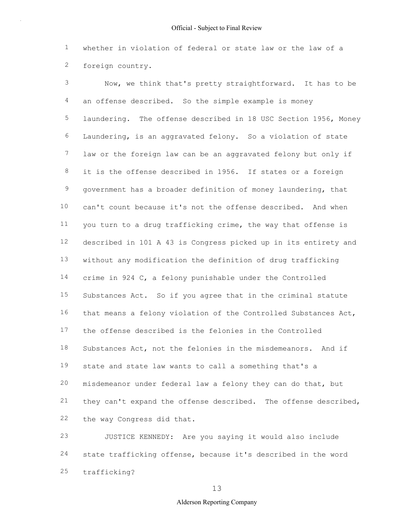1 2 whether in violation of federal or state law or the law of a foreign country.

3 4 5 6 7 8 9 10 11 12 13 14 15 16 17 18 19 20 21 22 Now, we think that's pretty straightforward. It has to be an offense described. So the simple example is money laundering. The offense described in 18 USC Section 1956, Money Laundering, is an aggravated felony. So a violation of state law or the foreign law can be an aggravated felony but only if it is the offense described in 1956. If states or a foreign government has a broader definition of money laundering, that can't count because it's not the offense described. And when you turn to a drug trafficking crime, the way that offense is described in 101 A 43 is Congress picked up in its entirety and without any modification the definition of drug trafficking crime in 924 C, a felony punishable under the Controlled Substances Act. So if you agree that in the criminal statute that means a felony violation of the Controlled Substances Act, the offense described is the felonies in the Controlled Substances Act, not the felonies in the misdemeanors. And if state and state law wants to call a something that's a misdemeanor under federal law a felony they can do that, but they can't expand the offense described. The offense described, the way Congress did that.

23 24 25 JUSTICE KENNEDY: Are you saying it would also include state trafficking offense, because it's described in the word trafficking?

13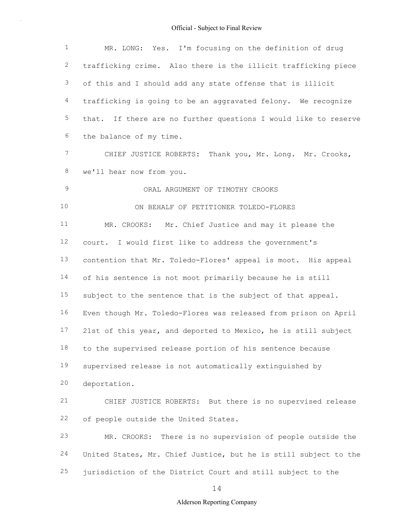| $\mathbf{1}$   | MR. LONG: Yes. I'm focusing on the definition of drug            |  |  |  |  |
|----------------|------------------------------------------------------------------|--|--|--|--|
| $\mathbf{2}$   | trafficking crime. Also there is the illicit trafficking piece   |  |  |  |  |
| $\mathfrak{Z}$ | of this and I should add any state offense that is illicit       |  |  |  |  |
| $\overline{4}$ | trafficking is going to be an aggravated felony. We recognize    |  |  |  |  |
| 5              | that. If there are no further questions I would like to reserve  |  |  |  |  |
| 6              | the balance of my time.                                          |  |  |  |  |
| $7\phantom{.}$ | CHIEF JUSTICE ROBERTS: Thank you, Mr. Long. Mr. Crooks,          |  |  |  |  |
| $\,8\,$        | we'll hear now from you.                                         |  |  |  |  |
| $\mathsf 9$    | ORAL ARGUMENT OF TIMOTHY CROOKS                                  |  |  |  |  |
| 10             | ON BEHALF OF PETITIONER TOLEDO-FLORES                            |  |  |  |  |
| 11             | MR. CROOKS: Mr. Chief Justice and may it please the              |  |  |  |  |
| 12             | court. I would first like to address the government's            |  |  |  |  |
| 13             | contention that Mr. Toledo-Flores' appeal is moot. His appeal    |  |  |  |  |
| 14             | of his sentence is not moot primarily because he is still        |  |  |  |  |
| 15             | subject to the sentence that is the subject of that appeal.      |  |  |  |  |
| 16             | Even though Mr. Toledo-Flores was released from prison on April  |  |  |  |  |
| 17             | 21st of this year, and deported to Mexico, he is still subject   |  |  |  |  |
| 18             | to the supervised release portion of his sentence because        |  |  |  |  |
| 19             | supervised release is not automatically extinguished by          |  |  |  |  |
| 20             | deportation.                                                     |  |  |  |  |
| 21             | CHIEF JUSTICE ROBERTS: But there is no supervised release        |  |  |  |  |
| 22             | of people outside the United States.                             |  |  |  |  |
| 23             | There is no supervision of people outside the<br>MR. CROOKS:     |  |  |  |  |
| 24             | United States, Mr. Chief Justice, but he is still subject to the |  |  |  |  |
| 25             | jurisdiction of the District Court and still subject to the      |  |  |  |  |
|                |                                                                  |  |  |  |  |

14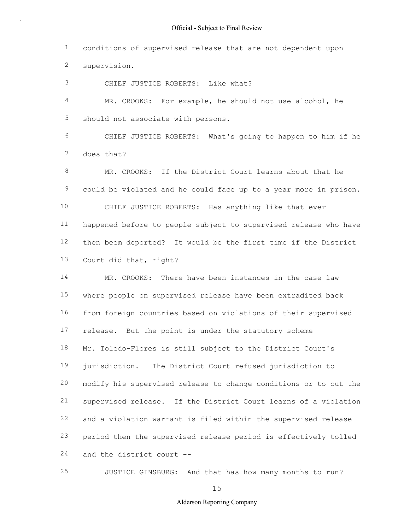1 2 conditions of supervised release that are not dependent upon supervision.

3 CHIEF JUSTICE ROBERTS: Like what?

4 5 MR. CROOKS: For example, he should not use alcohol, he should not associate with persons.

6 7 CHIEF JUSTICE ROBERTS: What's going to happen to him if he does that?

8 9 10 11 12 13 MR. CROOKS: If the District Court learns about that he could be violated and he could face up to a year more in prison. CHIEF JUSTICE ROBERTS: Has anything like that ever happened before to people subject to supervised release who have then beem deported? It would be the first time if the District Court did that, right?

14 15 16 17 18 19 20 21 22 23 24 MR. CROOKS: There have been instances in the case law where people on supervised release have been extradited back from foreign countries based on violations of their supervised release. But the point is under the statutory scheme Mr. Toledo-Flores is still subject to the District Court's jurisdiction. The District Court refused jurisdiction to modify his supervised release to change conditions or to cut the supervised release. If the District Court learns of a violation and a violation warrant is filed within the supervised release period then the supervised release period is effectively tolled and the district court --

25 JUSTICE GINSBURG: And that has how many months to run?

15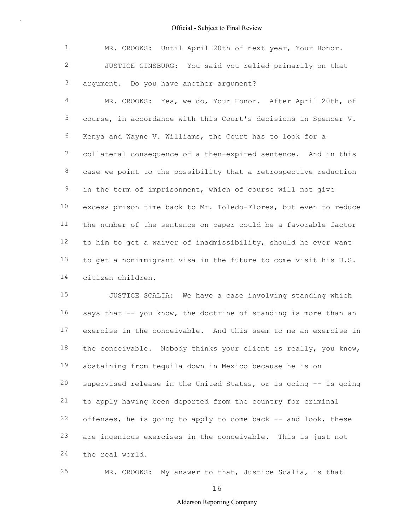1 2 3 MR. CROOKS: Until April 20th of next year, Your Honor. JUSTICE GINSBURG: You said you relied primarily on that argument. Do you have another argument?

4 5 6 7 8 9 10 11 12 13 14 MR. CROOKS: Yes, we do, Your Honor. After April 20th, of course, in accordance with this Court's decisions in Spencer V. Kenya and Wayne V. Williams, the Court has to look for a collateral consequence of a then-expired sentence. And in this case we point to the possibility that a retrospective reduction in the term of imprisonment, which of course will not give excess prison time back to Mr. Toledo-Flores, but even to reduce the number of the sentence on paper could be a favorable factor to him to get a waiver of inadmissibility, should he ever want to get a nonimmigrant visa in the future to come visit his U.S. citizen children.

15 16 17 18 19 20 21 22 23 24 JUSTICE SCALIA: We have a case involving standing which says that -- you know, the doctrine of standing is more than an exercise in the conceivable. And this seem to me an exercise in the conceivable. Nobody thinks your client is really, you know, abstaining from tequila down in Mexico because he is on supervised release in the United States, or is going -- is going to apply having been deported from the country for criminal offenses, he is going to apply to come back -- and look, these are ingenious exercises in the conceivable. This is just not the real world.

25 MR. CROOKS: My answer to that, Justice Scalia, is that

16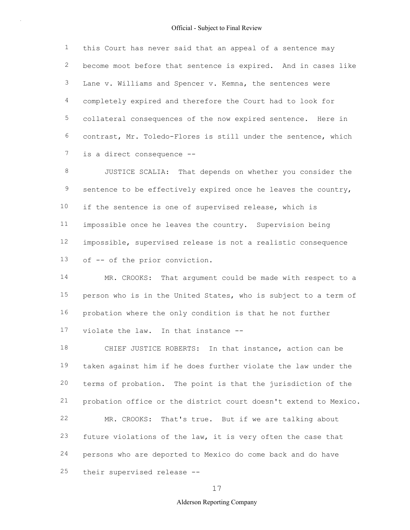1 2 3 4 5 6 7 this Court has never said that an appeal of a sentence may become moot before that sentence is expired. And in cases like Lane v. Williams and Spencer v. Kemna, the sentences were completely expired and therefore the Court had to look for collateral consequences of the now expired sentence. Here in contrast, Mr. Toledo-Flores is still under the sentence, which is a direct consequence --

8 9 10 11 12 13 JUSTICE SCALIA: That depends on whether you consider the sentence to be effectively expired once he leaves the country, if the sentence is one of supervised release, which is impossible once he leaves the country. Supervision being impossible, supervised release is not a realistic consequence of -- of the prior conviction.

14 15 16 17 MR. CROOKS: That argument could be made with respect to a person who is in the United States, who is subject to a term of probation where the only condition is that he not further violate the law. In that instance --

18 19 20 21 22 23 24 25 CHIEF JUSTICE ROBERTS: In that instance, action can be taken against him if he does further violate the law under the terms of probation. The point is that the jurisdiction of the probation office or the district court doesn't extend to Mexico. MR. CROOKS: That's true. But if we are talking about future violations of the law, it is very often the case that persons who are deported to Mexico do come back and do have their supervised release --

17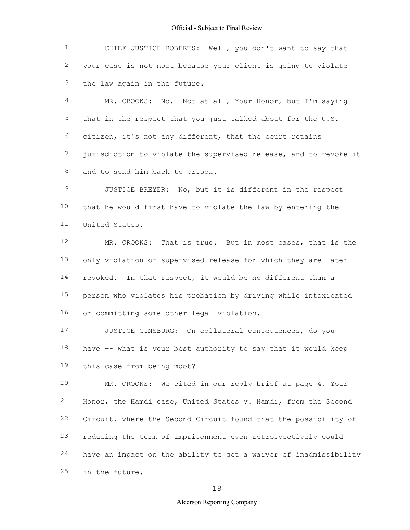1 2 3 CHIEF JUSTICE ROBERTS: Well, you don't want to say that your case is not moot because your client is going to violate the law again in the future.

4 5 6 7 8 MR. CROOKS: No. Not at all, Your Honor, but I'm saying that in the respect that you just talked about for the U.S. citizen, it's not any different, that the court retains jurisdiction to violate the supervised release, and to revoke it and to send him back to prison.

9 10 11 JUSTICE BREYER: No, but it is different in the respect that he would first have to violate the law by entering the United States.

12 13 14 15 16 MR. CROOKS: That is true. But in most cases, that is the only violation of supervised release for which they are later revoked. In that respect, it would be no different than a person who violates his probation by driving while intoxicated or committing some other legal violation.

17 18 19 JUSTICE GINSBURG: On collateral consequences, do you have -- what is your best authority to say that it would keep this case from being moot?

20 21 22 23 24 25 MR. CROOKS: We cited in our reply brief at page 4, Your Honor, the Hamdi case, United States v. Hamdi, from the Second Circuit, where the Second Circuit found that the possibility of reducing the term of imprisonment even retrospectively could have an impact on the ability to get a waiver of inadmissibility in the future.

18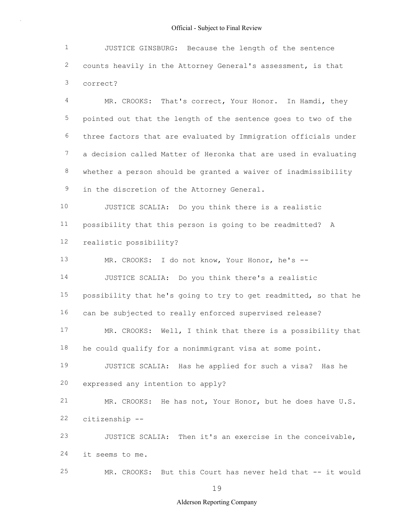1 2 3 JUSTICE GINSBURG: Because the length of the sentence counts heavily in the Attorney General's assessment, is that correct?

4 5 6 7 8 9 MR. CROOKS: That's correct, Your Honor. In Hamdi, they pointed out that the length of the sentence goes to two of the three factors that are evaluated by Immigration officials under a decision called Matter of Heronka that are used in evaluating whether a person should be granted a waiver of inadmissibility in the discretion of the Attorney General.

10 11 12 JUSTICE SCALIA: Do you think there is a realistic possibility that this person is going to be readmitted? A realistic possibility?

13 14 15 16 MR. CROOKS: I do not know, Your Honor, he's -- JUSTICE SCALIA: Do you think there's a realistic possibility that he's going to try to get readmitted, so that he can be subjected to really enforced supervised release?

17 18 MR. CROOKS: Well, I think that there is a possibility that he could qualify for a nonimmigrant visa at some point.

19 20 JUSTICE SCALIA: Has he applied for such a visa? Has he expressed any intention to apply?

21 22 MR. CROOKS: He has not, Your Honor, but he does have U.S. citizenship --

23 24 JUSTICE SCALIA: Then it's an exercise in the conceivable, it seems to me.

25 MR. CROOKS: But this Court has never held that -- it would

19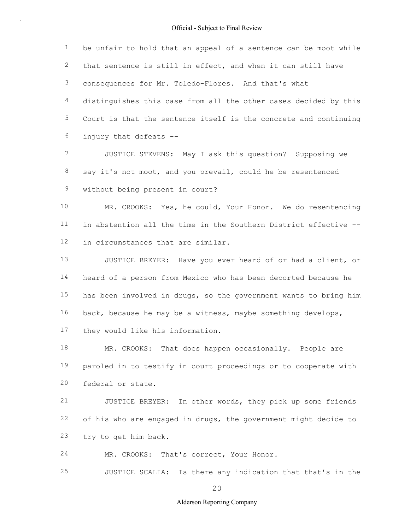1 2 3 4 5 6 be unfair to hold that an appeal of a sentence can be moot while that sentence is still in effect, and when it can still have consequences for Mr. Toledo-Flores. And that's what distinguishes this case from all the other cases decided by this Court is that the sentence itself is the concrete and continuing injury that defeats --

7 8 9 JUSTICE STEVENS: May I ask this question? Supposing we say it's not moot, and you prevail, could he be resentenced without being present in court?

10 11 12 MR. CROOKS: Yes, he could, Your Honor. We do resentencing in abstention all the time in the Southern District effective - in circumstances that are similar.

13 14 15 16 17 JUSTICE BREYER: Have you ever heard of or had a client, or heard of a person from Mexico who has been deported because he has been involved in drugs, so the government wants to bring him back, because he may be a witness, maybe something develops, they would like his information.

18 19 20 MR. CROOKS: That does happen occasionally. People are paroled in to testify in court proceedings or to cooperate with federal or state.

21 22 23 JUSTICE BREYER: In other words, they pick up some friends of his who are engaged in drugs, the government might decide to try to get him back.

24 MR. CROOKS: That's correct, Your Honor.

25 JUSTICE SCALIA: Is there any indication that that's in the

20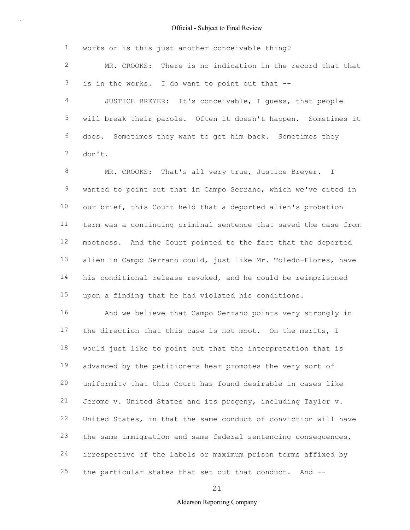1 works or is this just another conceivable thing?

2 3 MR. CROOKS: There is no indication in the record that that is in the works. I do want to point out that --

4 5 6 7 JUSTICE BREYER: It's conceivable, I guess, that people will break their parole. Often it doesn't happen. Sometimes it does. Sometimes they want to get him back. Sometimes they don't.

8 9 10 11 12 13 14 15 MR. CROOKS: That's all very true, Justice Breyer. I wanted to point out that in Campo Serrano, which we've cited in our brief, this Court held that a deported alien's probation term was a continuing criminal sentence that saved the case from mootness. And the Court pointed to the fact that the deported alien in Campo Serrano could, just like Mr. Toledo-Flores, have his conditional release revoked, and he could be reimprisoned upon a finding that he had violated his conditions.

16 17 18 19 20 21 22 23 24 25 And we believe that Campo Serrano points very strongly in the direction that this case is not moot. On the merits, I would just like to point out that the interpretation that is advanced by the petitioners hear promotes the very sort of uniformity that this Court has found desirable in cases like Jerome v. United States and its progeny, including Taylor v. United States, in that the same conduct of conviction will have the same immigration and same federal sentencing consequences, irrespective of the labels or maximum prison terms affixed by the particular states that set out that conduct. And --

21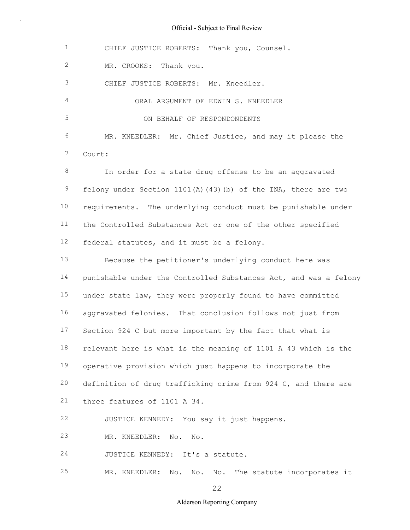1 2 3 4 5 6 7 8 9 10 11 12 13 14 15 16 17 18 19 20 21 22 23 24 25 CHIEF JUSTICE ROBERTS: Thank you, Counsel. MR. CROOKS: Thank you. CHIEF JUSTICE ROBERTS: Mr. Kneedler. ORAL ARGUMENT OF EDWIN S. KNEEDLER ON BEHALF OF RESPONDONDENTS MR. KNEEDLER: Mr. Chief Justice, and may it please the Court: In order for a state drug offense to be an aggravated felony under Section 1101(A)(43)(b) of the INA, there are two requirements. The underlying conduct must be punishable under the Controlled Substances Act or one of the other specified federal statutes, and it must be a felony. Because the petitioner's underlying conduct here was punishable under the Controlled Substances Act, and was a felony under state law, they were properly found to have committed aggravated felonies. That conclusion follows not just from Section 924 C but more important by the fact that what is relevant here is what is the meaning of 1101 A 43 which is the operative provision which just happens to incorporate the definition of drug trafficking crime from 924 C, and there are three features of 1101 A 34. JUSTICE KENNEDY: You say it just happens. MR. KNEEDLER: No. No. JUSTICE KENNEDY: It's a statute. MR. KNEEDLER: No. No. No. The statute incorporates it

22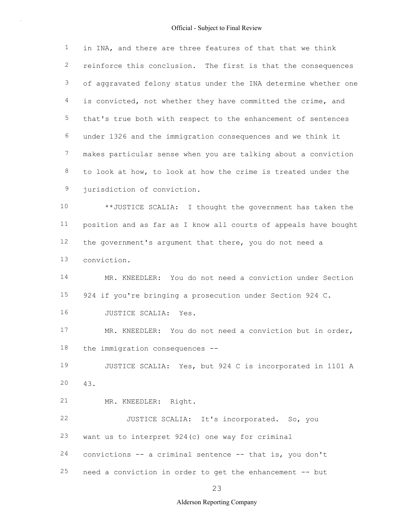1 2 3 4 5 6 7 8 9 in INA, and there are three features of that that we think reinforce this conclusion. The first is that the consequences of aggravated felony status under the INA determine whether one is convicted, not whether they have committed the crime, and that's true both with respect to the enhancement of sentences under 1326 and the immigration consequences and we think it makes particular sense when you are talking about a conviction to look at how, to look at how the crime is treated under the jurisdiction of conviction.

10 11 12 13 \*\*JUSTICE SCALIA: I thought the government has taken the position and as far as I know all courts of appeals have bought the government's argument that there, you do not need a conviction.

14 15 16 MR. KNEEDLER: You do not need a conviction under Section 924 if you're bringing a prosecution under Section 924 C. JUSTICE SCALIA: Yes.

17 18 MR. KNEEDLER: You do not need a conviction but in order, the immigration consequences --

19 20 JUSTICE SCALIA: Yes, but 924 C is incorporated in 1101 A 43.

21 MR. KNEEDLER: Right.

22 23 24 JUSTICE SCALIA: It's incorporated. So, you want us to interpret 924(c) one way for criminal convictions -- a criminal sentence -- that is, you don't

25 need a conviction in order to get the enhancement -- but

23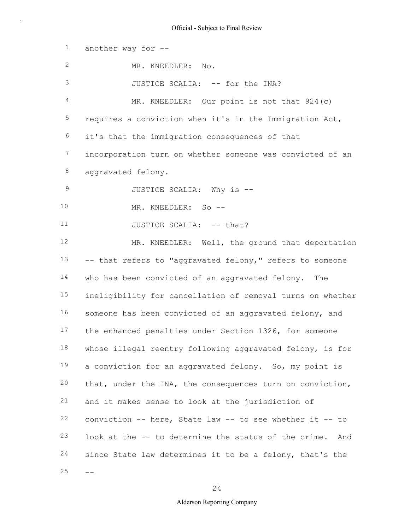1 2 3 4 5 6 7 8 9 10 11 12 13 14 15 16 17 18 19 20 21 22 23 24  $25 -$ another way for -- MR. KNEEDLER: No. JUSTICE SCALIA: -- for the INA? MR. KNEEDLER: Our point is not that 924(c) requires a conviction when it's in the Immigration Act, it's that the immigration consequences of that incorporation turn on whether someone was convicted of an aggravated felony. JUSTICE SCALIA: Why is -- MR. KNEEDLER: So -- JUSTICE SCALIA: -- that? MR. KNEEDLER: Well, the ground that deportation -- that refers to "aggravated felony," refers to someone who has been convicted of an aggravated felony. The ineligibility for cancellation of removal turns on whether someone has been convicted of an aggravated felony, and the enhanced penalties under Section 1326, for someone whose illegal reentry following aggravated felony, is for a conviction for an aggravated felony. So, my point is that, under the INA, the consequences turn on conviction, and it makes sense to look at the jurisdiction of conviction -- here, State law -- to see whether it -- to look at the -- to determine the status of the crime. And since State law determines it to be a felony, that's the

24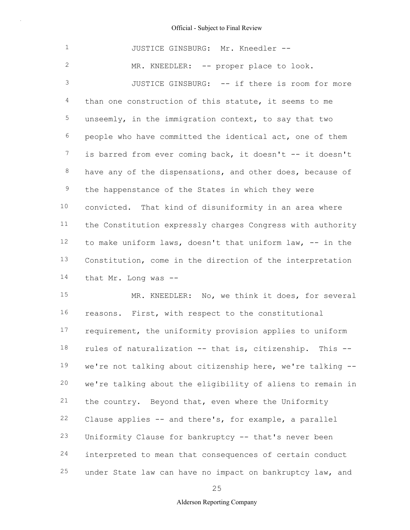| $\mathbf 1$    | JUSTICE GINSBURG: Mr. Kneedler --                          |  |  |  |  |
|----------------|------------------------------------------------------------|--|--|--|--|
| $\overline{2}$ | MR. KNEEDLER: -- proper place to look.                     |  |  |  |  |
| 3              | JUSTICE GINSBURG: -- if there is room for more             |  |  |  |  |
| 4              | than one construction of this statute, it seems to me      |  |  |  |  |
| 5              | unseemly, in the immigration context, to say that two      |  |  |  |  |
| 6              | people who have committed the identical act, one of them   |  |  |  |  |
| 7              | is barred from ever coming back, it doesn't -- it doesn't  |  |  |  |  |
| $8\,$          | have any of the dispensations, and other does, because of  |  |  |  |  |
| 9              | the happenstance of the States in which they were          |  |  |  |  |
| 10             | convicted. That kind of disuniformity in an area where     |  |  |  |  |
| 11             | the Constitution expressly charges Congress with authority |  |  |  |  |
| 12             | to make uniform laws, doesn't that uniform law, -- in the  |  |  |  |  |
| 13             | Constitution, come in the direction of the interpretation  |  |  |  |  |
| 14             | that Mr. Long was --                                       |  |  |  |  |
| 15             | MR. KNEEDLER: No, we think it does, for several            |  |  |  |  |
| 16             | reasons. First, with respect to the constitutional         |  |  |  |  |
|                |                                                            |  |  |  |  |

17 18 19 20 21 22 23 24 25 requirement, the uniformity provision applies to uniform rules of naturalization -- that is, citizenship. This - we're not talking about citizenship here, we're talking - we're talking about the eligibility of aliens to remain in the country. Beyond that, even where the Uniformity Clause applies -- and there's, for example, a parallel Uniformity Clause for bankruptcy -- that's never been interpreted to mean that consequences of certain conduct under State law can have no impact on bankruptcy law, and

25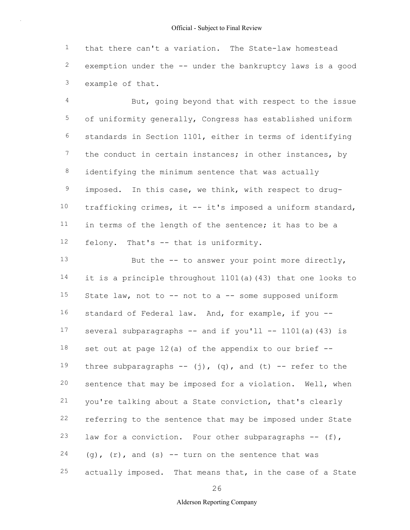1 2 3 that there can't a variation. The State-law homestead exemption under the -- under the bankruptcy laws is a good example of that.

4 5 6 7 8 9 10 11 12 But, going beyond that with respect to the issue of uniformity generally, Congress has established uniform standards in Section 1101, either in terms of identifying the conduct in certain instances; in other instances, by identifying the minimum sentence that was actually imposed. In this case, we think, with respect to drugtrafficking crimes, it -- it's imposed a uniform standard, in terms of the length of the sentence; it has to be a felony. That's -- that is uniformity.

13 14 15 16 17 18 19 20 21 22 23 24 25 But the  $-$ - to answer your point more directly, it is a principle throughout 1101(a)(43) that one looks to State law, not to -- not to a -- some supposed uniform standard of Federal law. And, for example, if you -several subparagraphs  $--$  and if you'll  $--$  1101(a)(43) is set out at page  $12(a)$  of the appendix to our brief  $-$ three subparagraphs  $--$  (j), (q), and (t)  $--$  refer to the sentence that may be imposed for a violation. Well, when you're talking about a State conviction, that's clearly referring to the sentence that may be imposed under State law for a conviction. Four other subparagraphs -- (f),  $(g)$ ,  $(r)$ , and  $(s)$  -- turn on the sentence that was actually imposed. That means that, in the case of a State

26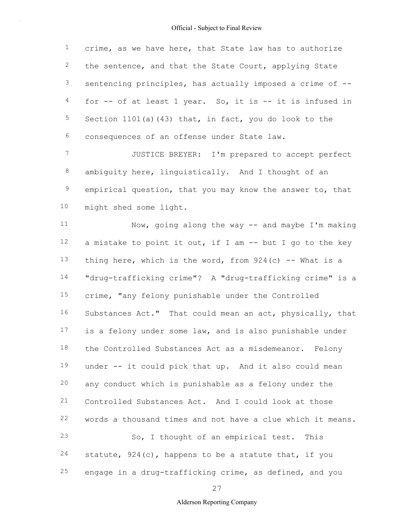1 2 3 4 5 6 crime, as we have here, that State law has to authorize the sentence, and that the State Court, applying State sentencing principles, has actually imposed a crime of - for -- of at least 1 year. So, it is -- it is infused in Section 1101(a)(43) that, in fact, you do look to the consequences of an offense under State law.

7 8 9 10 JUSTICE BREYER: I'm prepared to accept perfect ambiguity here, linguistically. And I thought of an empirical question, that you may know the answer to, that might shed some light.

11 12 13 14 15 16 17 18 19 20 21 22 23 24 25 Now, going along the way -- and maybe I'm making a mistake to point it out, if I am -- but I go to the key thing here, which is the word, from  $924(c)$  -- What is a "drug-trafficking crime"? A "drug-trafficking crime" is a crime, "any felony punishable under the Controlled Substances Act." That could mean an act, physically, that is a felony under some law, and is also punishable under the Controlled Substances Act as a misdemeanor. Felony under -- it could pick that up. And it also could mean any conduct which is punishable as a felony under the Controlled Substances Act. And I could look at those words a thousand times and not have a clue which it means. So, I thought of an empirical test. This statute, 924(c), happens to be a statute that, if you engage in a drug-trafficking crime, as defined, and you

27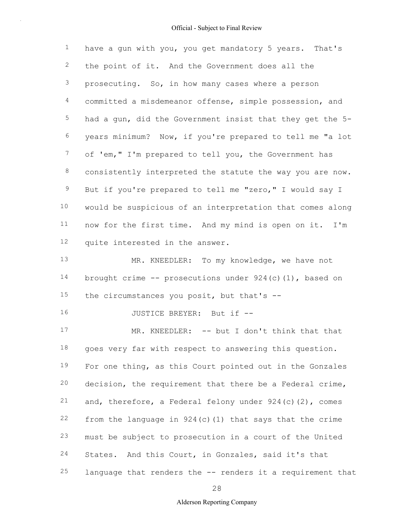1 2 3 4 5 6 7 8 9 10 11 12 13 have a gun with you, you get mandatory 5 years. That's the point of it. And the Government does all the prosecuting. So, in how many cases where a person committed a misdemeanor offense, simple possession, and had a gun, did the Government insist that they get the 5 years minimum? Now, if you're prepared to tell me "a lot of 'em," I'm prepared to tell you, the Government has consistently interpreted the statute the way you are now. But if you're prepared to tell me "zero," I would say I would be suspicious of an interpretation that comes along now for the first time. And my mind is open on it. I'm quite interested in the answer. MR. KNEEDLER: To my knowledge, we have not

14 15 brought crime  $--$  prosecutions under 924(c)(1), based on the circumstances you posit, but that's --

16 JUSTICE BREYER: But if --

17 18 19 20 21 22 23 24 25 MR. KNEEDLER: -- but I don't think that that goes very far with respect to answering this question. For one thing, as this Court pointed out in the Gonzales decision, the requirement that there be a Federal crime, and, therefore, a Federal felony under  $924(c)(2)$ , comes from the language in  $924(c)(1)$  that says that the crime must be subject to prosecution in a court of the United States. And this Court, in Gonzales, said it's that language that renders the -- renders it a requirement that

28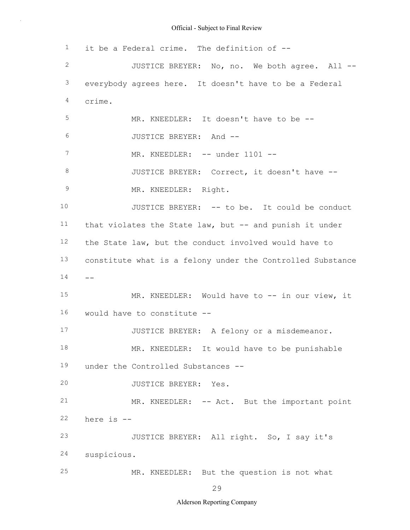1 2 3 4 5 6 7 8 9 10 11 12 13  $14 - -$ 15 16 17 18 19 20 21 22 23 24 25 it be a Federal crime. The definition of -- JUSTICE BREYER: No, no. We both agree. All - everybody agrees here. It doesn't have to be a Federal crime. MR. KNEEDLER: It doesn't have to be -- JUSTICE BREYER: And -- MR. KNEEDLER: -- under 1101 --JUSTICE BREYER: Correct, it doesn't have -- MR. KNEEDLER: Right. JUSTICE BREYER: -- to be. It could be conduct that violates the State law, but -- and punish it under the State law, but the conduct involved would have to constitute what is a felony under the Controlled Substance MR. KNEEDLER: Would have to -- in our view, it would have to constitute -- JUSTICE BREYER: A felony or a misdemeanor. MR. KNEEDLER: It would have to be punishable under the Controlled Substances -- JUSTICE BREYER: Yes. MR. KNEEDLER: -- Act. But the important point here is -- JUSTICE BREYER: All right. So, I say it's suspicious. MR. KNEEDLER: But the question is not what

29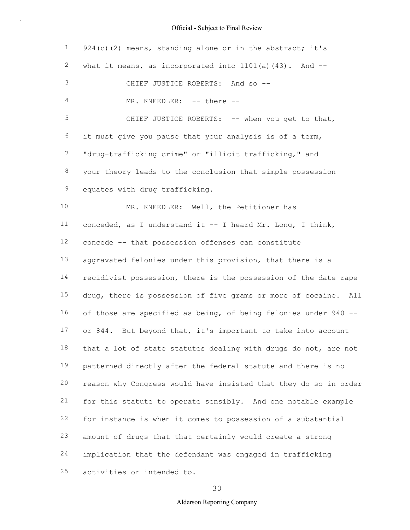| $\mathbf{1}$   | $924(c)$ (2) means, standing alone or in the abstract; it's      |
|----------------|------------------------------------------------------------------|
| $\mathbf{2}$   | what it means, as incorporated into $1101(a)$ (43). And $-$      |
| $\mathfrak{Z}$ | CHIEF JUSTICE ROBERTS: And so --                                 |
| 4              | MR. KNEEDLER: -- there --                                        |
| 5              | CHIEF JUSTICE ROBERTS: -- when you get to that,                  |
| 6              | it must give you pause that your analysis is of a term,          |
| $7\phantom{.}$ | "drug-trafficking crime" or "illicit trafficking," and           |
| $\,8\,$        | your theory leads to the conclusion that simple possession       |
| $\mathsf 9$    | equates with drug trafficking.                                   |
| 10             | MR. KNEEDLER: Well, the Petitioner has                           |
| 11             | conceded, as I understand it -- I heard Mr. Long, I think,       |
| 12             | concede -- that possession offenses can constitute               |
| 13             | aggravated felonies under this provision, that there is a        |
| 14             | recidivist possession, there is the possession of the date rape  |
| 15             | drug, there is possession of five grams or more of cocaine. All  |
| 16             | of those are specified as being, of being felonies under 940 --  |
| 17             | or 844. But beyond that, it's important to take into account     |
| 18             | that a lot of state statutes dealing with drugs do not, are not  |
| 19             | patterned directly after the federal statute and there is no     |
| 20             | reason why Congress would have insisted that they do so in order |
| 21             | for this statute to operate sensibly. And one notable example    |
| 22             | for instance is when it comes to possession of a substantial     |
| 23             | amount of drugs that that certainly would create a strong        |
| 24             | implication that the defendant was engaged in trafficking        |
| 25             | activities or intended to.                                       |

30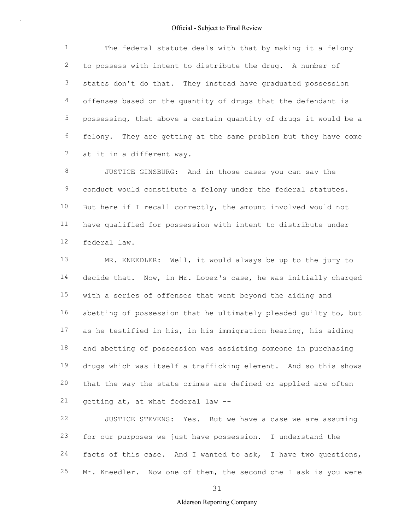1 2 3 4 5 6 7 The federal statute deals with that by making it a felony to possess with intent to distribute the drug. A number of states don't do that. They instead have graduated possession offenses based on the quantity of drugs that the defendant is possessing, that above a certain quantity of drugs it would be a felony. They are getting at the same problem but they have come at it in a different way.

8 9 10 11 12 JUSTICE GINSBURG: And in those cases you can say the conduct would constitute a felony under the federal statutes. But here if I recall correctly, the amount involved would not have qualified for possession with intent to distribute under federal law.

13 14 15 16 17 18 19 20 21 MR. KNEEDLER: Well, it would always be up to the jury to decide that. Now, in Mr. Lopez's case, he was initially charged with a series of offenses that went beyond the aiding and abetting of possession that he ultimately pleaded guilty to, but as he testified in his, in his immigration hearing, his aiding and abetting of possession was assisting someone in purchasing drugs which was itself a trafficking element. And so this shows that the way the state crimes are defined or applied are often getting at, at what federal law --

22 23 24 25 JUSTICE STEVENS: Yes. But we have a case we are assuming for our purposes we just have possession. I understand the facts of this case. And I wanted to ask, I have two questions, Mr. Kneedler. Now one of them, the second one I ask is you were

31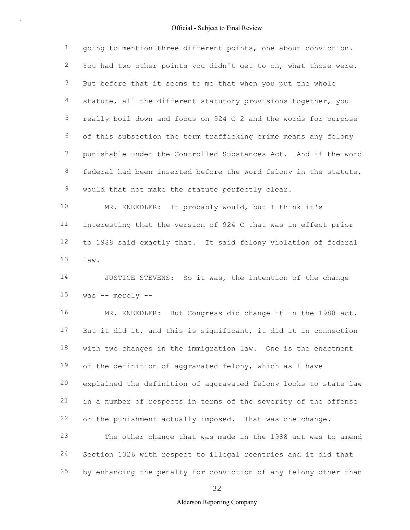1 2 3 4 5 6 7 8 9 going to mention three different points, one about conviction. You had two other points you didn't get to on, what those were. But before that it seems to me that when you put the whole statute, all the different statutory provisions together, you really boil down and focus on 924 C 2 and the words for purpose of this subsection the term trafficking crime means any felony punishable under the Controlled Substances Act. And if the word federal had been inserted before the word felony in the statute, would that not make the statute perfectly clear.

10 11 12 13 MR. KNEEDLER: It probably would, but I think it's interesting that the version of 924 C that was in effect prior to 1988 said exactly that. It said felony violation of federal law.

14 15 JUSTICE STEVENS: So it was, the intention of the change was -- merely --

16 17 18 19 20 21 22 MR. KNEEDLER: But Congress did change it in the 1988 act. But it did it, and this is significant, it did it in connection with two changes in the immigration law. One is the enactment of the definition of aggravated felony, which as I have explained the definition of aggravated felony looks to state law in a number of respects in terms of the severity of the offense or the punishment actually imposed. That was one change.

23 24 25 The other change that was made in the 1988 act was to amend Section 1326 with respect to illegal reentries and it did that by enhancing the penalty for conviction of any felony other than

32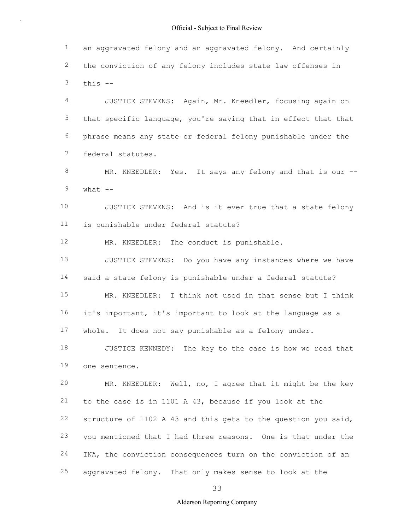1 2 3 an aggravated felony and an aggravated felony. And certainly the conviction of any felony includes state law offenses in this --

4 5 6 7 JUSTICE STEVENS: Again, Mr. Kneedler, focusing again on that specific language, you're saying that in effect that that phrase means any state or federal felony punishable under the federal statutes.

8 9 MR. KNEEDLER: Yes. It says any felony and that is our -what  $--$ 

10 11 JUSTICE STEVENS: And is it ever true that a state felony is punishable under federal statute?

12 MR. KNEEDLER: The conduct is punishable.

13 14 15 16 17 JUSTICE STEVENS: Do you have any instances where we have said a state felony is punishable under a federal statute? MR. KNEEDLER: I think not used in that sense but I think it's important, it's important to look at the language as a whole. It does not say punishable as a felony under.

18 19 JUSTICE KENNEDY: The key to the case is how we read that one sentence.

20 21 22 23 24 25 MR. KNEEDLER: Well, no, I agree that it might be the key to the case is in 1101 A 43, because if you look at the structure of 1102 A 43 and this gets to the question you said, you mentioned that I had three reasons. One is that under the INA, the conviction consequences turn on the conviction of an aggravated felony. That only makes sense to look at the

33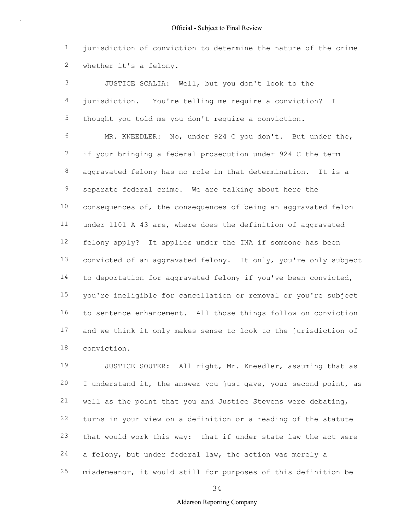1 2 jurisdiction of conviction to determine the nature of the crime whether it's a felony.

3 4 5 6 7 8 9 10 11 12 13 14 15 16 17 18 JUSTICE SCALIA: Well, but you don't look to the jurisdiction. You're telling me require a conviction? I thought you told me you don't require a conviction. MR. KNEEDLER: No, under 924 C you don't. But under the, if your bringing a federal prosecution under 924 C the term aggravated felony has no role in that determination. It is a separate federal crime. We are talking about here the consequences of, the consequences of being an aggravated felon under 1101 A 43 are, where does the definition of aggravated felony apply? It applies under the INA if someone has been convicted of an aggravated felony. It only, you're only subject to deportation for aggravated felony if you've been convicted, you're ineligible for cancellation or removal or you're subject to sentence enhancement. All those things follow on conviction and we think it only makes sense to look to the jurisdiction of conviction.

19 20 21 22 23 24 25 JUSTICE SOUTER: All right, Mr. Kneedler, assuming that as I understand it, the answer you just gave, your second point, as well as the point that you and Justice Stevens were debating, turns in your view on a definition or a reading of the statute that would work this way: that if under state law the act were a felony, but under federal law, the action was merely a misdemeanor, it would still for purposes of this definition be

34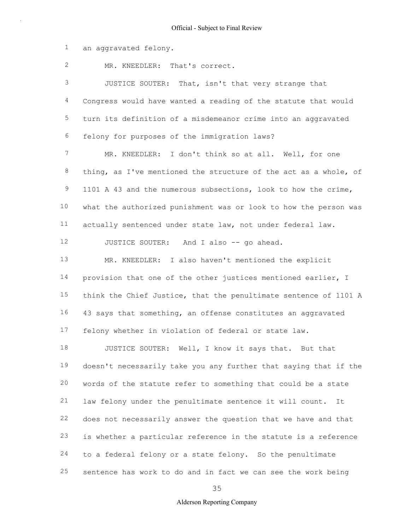1 an aggravated felony.

2 MR. KNEEDLER: That's correct.

3 4 5 6 JUSTICE SOUTER: That, isn't that very strange that Congress would have wanted a reading of the statute that would turn its definition of a misdemeanor crime into an aggravated felony for purposes of the immigration laws?

7 8 9 10 11 MR. KNEEDLER: I don't think so at all. Well, for one thing, as I've mentioned the structure of the act as a whole, of 1101 A 43 and the numerous subsections, look to how the crime, what the authorized punishment was or look to how the person was actually sentenced under state law, not under federal law.

12 JUSTICE SOUTER: And I also -- go ahead.

13 14 15 16 17 MR. KNEEDLER: I also haven't mentioned the explicit provision that one of the other justices mentioned earlier, I think the Chief Justice, that the penultimate sentence of 1101 A 43 says that something, an offense constitutes an aggravated felony whether in violation of federal or state law.

18 19 20 21 22 23 24 25 JUSTICE SOUTER: Well, I know it says that. But that doesn't necessarily take you any further that saying that if the words of the statute refer to something that could be a state law felony under the penultimate sentence it will count. It does not necessarily answer the question that we have and that is whether a particular reference in the statute is a reference to a federal felony or a state felony. So the penultimate sentence has work to do and in fact we can see the work being

35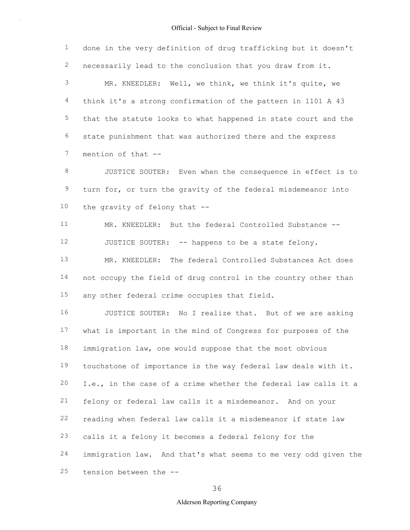1 2 3 4 5 6 7 done in the very definition of drug trafficking but it doesn't necessarily lead to the conclusion that you draw from it. MR. KNEEDLER: Well, we think, we think it's quite, we think it's a strong confirmation of the pattern in 1101 A 43 that the statute looks to what happened in state court and the state punishment that was authorized there and the express mention of that --

8 9 10 JUSTICE SOUTER: Even when the consequence in effect is to turn for, or turn the gravity of the federal misdemeanor into the gravity of felony that --

11 12 MR. KNEEDLER: But the federal Controlled Substance -- JUSTICE SOUTER: -- happens to be a state felony.

13 14 15 MR. KNEEDLER: The federal Controlled Substances Act does not occupy the field of drug control in the country other than any other federal crime occupies that field.

16 17 18 19 20 21 22 23 24 25 JUSTICE SOUTER: No I realize that. But of we are asking what is important in the mind of Congress for purposes of the immigration law, one would suppose that the most obvious touchstone of importance is the way federal law deals with it. I.e., in the case of a crime whether the federal law calls it a felony or federal law calls it a misdemeanor. And on your reading when federal law calls it a misdemeanor if state law calls it a felony it becomes a federal felony for the immigration law. And that's what seems to me very odd given the tension between the --

36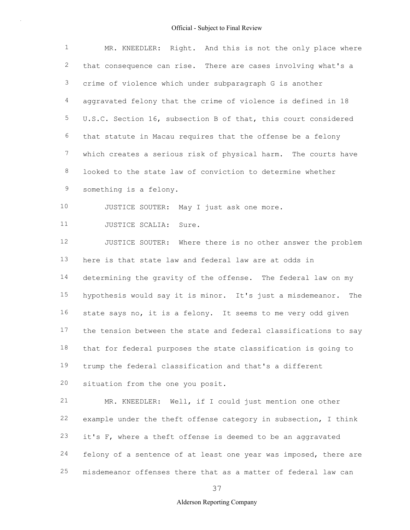| $\mathbf{1}$    | MR. KNEEDLER: Right. And this is not the only place where         |  |  |  |  |
|-----------------|-------------------------------------------------------------------|--|--|--|--|
| $\mathbf{2}$    | that consequence can rise. There are cases involving what's a     |  |  |  |  |
| 3               | crime of violence which under subparagraph G is another           |  |  |  |  |
| 4               | aggravated felony that the crime of violence is defined in 18     |  |  |  |  |
| 5               | U.S.C. Section 16, subsection B of that, this court considered    |  |  |  |  |
| 6               | that statute in Macau requires that the offense be a felony       |  |  |  |  |
| $7\phantom{.0}$ | which creates a serious risk of physical harm. The courts have    |  |  |  |  |
| $\,8\,$         | looked to the state law of conviction to determine whether        |  |  |  |  |
| 9               | something is a felony.                                            |  |  |  |  |
| 10              | JUSTICE SOUTER: May I just ask one more.                          |  |  |  |  |
| 11              | JUSTICE SCALIA: Sure.                                             |  |  |  |  |
| 12              | JUSTICE SOUTER: Where there is no other answer the problem        |  |  |  |  |
| 13              | here is that state law and federal law are at odds in             |  |  |  |  |
| 14              | determining the gravity of the offense. The federal law on my     |  |  |  |  |
| 15              | hypothesis would say it is minor. It's just a misdemeanor.<br>The |  |  |  |  |
| 16              | state says no, it is a felony. It seems to me very odd given      |  |  |  |  |
| 17              | the tension between the state and federal classifications to say  |  |  |  |  |
| 18              | that for federal purposes the state classification is going to    |  |  |  |  |
| 19              | trump the federal classification and that's a different           |  |  |  |  |
| 20              | situation from the one you posit.                                 |  |  |  |  |
| 21              | MR. KNEEDLER: Well, if I could just mention one other             |  |  |  |  |
| 22              | example under the theft offense category in subsection, I think   |  |  |  |  |
| 23              | it's F, where a theft offense is deemed to be an aggravated       |  |  |  |  |
| 24              | felony of a sentence of at least one year was imposed, there are  |  |  |  |  |
| 25              | misdemeanor offenses there that as a matter of federal law can    |  |  |  |  |

37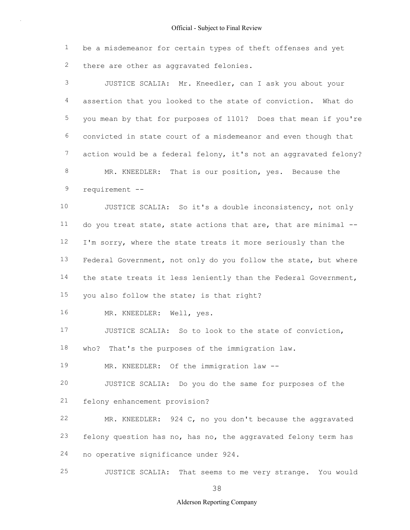1 2 be a misdemeanor for certain types of theft offenses and yet there are other as aggravated felonies.

3 4 5 6 7 8 9 10 11 12 13 14 15 16 17 18 19 20 21 22 23 24 25 JUSTICE SCALIA: Mr. Kneedler, can I ask you about your assertion that you looked to the state of conviction. What do you mean by that for purposes of 1101? Does that mean if you're convicted in state court of a misdemeanor and even though that action would be a federal felony, it's not an aggravated felony? MR. KNEEDLER: That is our position, yes. Because the requirement -- JUSTICE SCALIA: So it's a double inconsistency, not only do you treat state, state actions that are, that are minimal -- I'm sorry, where the state treats it more seriously than the Federal Government, not only do you follow the state, but where the state treats it less leniently than the Federal Government, you also follow the state; is that right? MR. KNEEDLER: Well, yes. JUSTICE SCALIA: So to look to the state of conviction, who? That's the purposes of the immigration law. MR. KNEEDLER: Of the immigration law -- JUSTICE SCALIA: Do you do the same for purposes of the felony enhancement provision? MR. KNEEDLER: 924 C, no you don't because the aggravated felony question has no, has no, the aggravated felony term has no operative significance under 924. JUSTICE SCALIA: That seems to me very strange. You would

38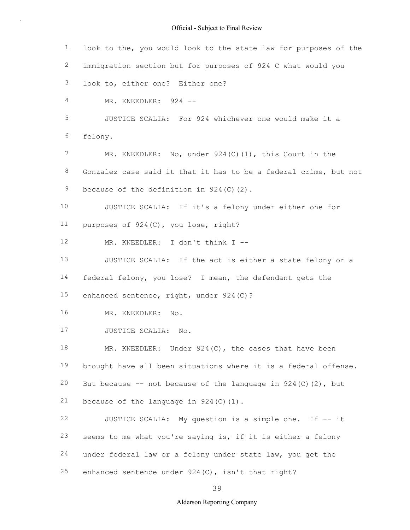1 2 3 4 5 6 7 8 9 10 11 12 13 14 15 16 17 18 19 20 21 22 23 24 25 look to the, you would look to the state law for purposes of the immigration section but for purposes of 924 C what would you look to, either one? Either one? MR. KNEEDLER: 924 --JUSTICE SCALIA: For 924 whichever one would make it a felony. MR. KNEEDLER: No, under 924(C)(1), this Court in the Gonzalez case said it that it has to be a federal crime, but not because of the definition in  $924(C)(2)$ . JUSTICE SCALIA: If it's a felony under either one for purposes of 924(C), you lose, right? MR. KNEEDLER: I don't think I -- JUSTICE SCALIA: If the act is either a state felony or a federal felony, you lose? I mean, the defendant gets the enhanced sentence, right, under 924(C)? MR. KNEEDLER: No. JUSTICE SCALIA: No. MR. KNEEDLER: Under 924(C), the cases that have been brought have all been situations where it is a federal offense. But because  $--$  not because of the language in 924(C)(2), but because of the language in  $924(C)(1)$ . JUSTICE SCALIA: My question is a simple one. If -- it seems to me what you're saying is, if it is either a felony under federal law or a felony under state law, you get the enhanced sentence under 924(C), isn't that right?

39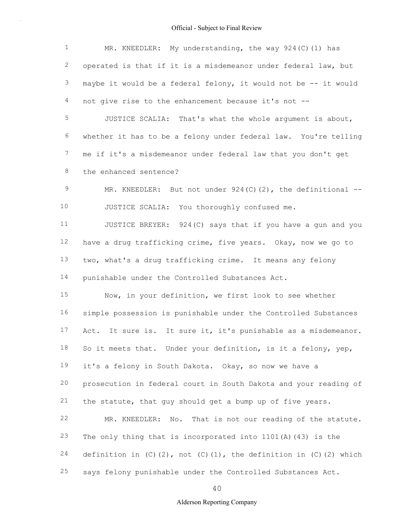| $\mathbf{1}$   | MR. KNEEDLER: My understanding, the way $924(C)$ (1) has                          |
|----------------|-----------------------------------------------------------------------------------|
| $\overline{c}$ | operated is that if it is a misdemeanor under federal law, but                    |
| 3              | maybe it would be a federal felony, it would not be -- it would                   |
| 4              | not give rise to the enhancement because it's not --                              |
| 5              | JUSTICE SCALIA: That's what the whole argument is about,                          |
| 6              | whether it has to be a felony under federal law. You're telling                   |
| 7              | me if it's a misdemeanor under federal law that you don't get                     |
| 8              | the enhanced sentence?                                                            |
| 9              | MR. KNEEDLER: But not under $924(C)(2)$ , the definitional --                     |
| 10             | JUSTICE SCALIA: You thoroughly confused me.                                       |
| 11             | JUSTICE BREYER: 924(C) says that if you have a gun and you                        |
| 12             | have a drug trafficking crime, five years. Okay, now we go to                     |
| 13             | two, what's a drug trafficking crime. It means any felony                         |
| 14             | punishable under the Controlled Substances Act.                                   |
| 15             | Now, in your definition, we first look to see whether                             |
| 16             | simple possession is punishable under the Controlled Substances                   |
| 17             | It sure is. It sure it, it's punishable as a misdemeanor.<br>Act.                 |
| 18             | So it meets that. Under your definition, is it a felony, yep,                     |
| 19             | it's a felony in South Dakota. Okay, so now we have a                             |
| 20             | prosecution in federal court in South Dakota and your reading of                  |
| 21             | the statute, that guy should get a bump up of five years.                         |
| 22             | That is not our reading of the statute.<br>MR. KNEEDLER: No.                      |
| 23             | The only thing that is incorporated into $1101(A)$ (43) is the                    |
| 24             | definition in $(C)$ $(2)$ , not $(C)$ $(1)$ , the definition in $(C)$ $(2)$ which |
| 25             | says felony punishable under the Controlled Substances Act.                       |

40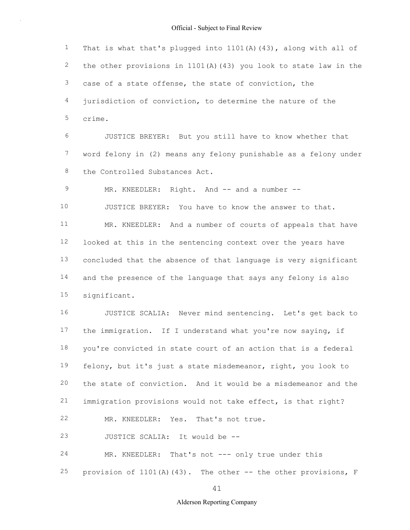1 2 3 4 5 6 7 8 9 10 11 12 13 14 15 16 17 18 19 20 21 22 23 24 25 That is what that's plugged into  $1101(A)$  (43), along with all of the other provisions in 1101(A)(43) you look to state law in the case of a state offense, the state of conviction, the jurisdiction of conviction, to determine the nature of the crime. JUSTICE BREYER: But you still have to know whether that word felony in (2) means any felony punishable as a felony under the Controlled Substances Act. MR. KNEEDLER: Right. And -- and a number --JUSTICE BREYER: You have to know the answer to that. MR. KNEEDLER: And a number of courts of appeals that have looked at this in the sentencing context over the years have concluded that the absence of that language is very significant and the presence of the language that says any felony is also significant. JUSTICE SCALIA: Never mind sentencing. Let's get back to the immigration. If I understand what you're now saying, if you're convicted in state court of an action that is a federal felony, but it's just a state misdemeanor, right, you look to the state of conviction. And it would be a misdemeanor and the immigration provisions would not take effect, is that right? MR. KNEEDLER: Yes. That's not true. JUSTICE SCALIA: It would be -- MR. KNEEDLER: That's not --- only true under this provision of  $1101(A)(43)$ . The other -- the other provisions, F

41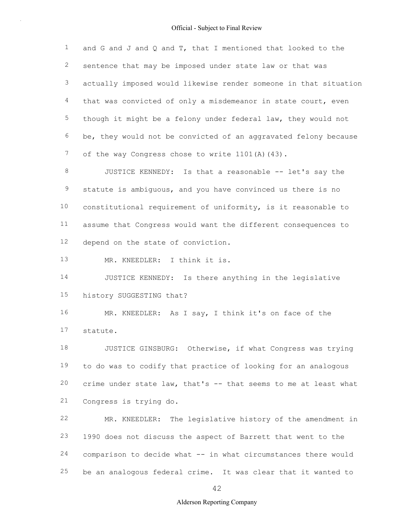1 2 3 4 5 6 7 and G and J and Q and T, that I mentioned that looked to the sentence that may be imposed under state law or that was actually imposed would likewise render someone in that situation that was convicted of only a misdemeanor in state court, even though it might be a felony under federal law, they would not be, they would not be convicted of an aggravated felony because of the way Congress chose to write 1101(A)(43).

8 9 10 11 12 JUSTICE KENNEDY: Is that a reasonable -- let's say the statute is ambiguous, and you have convinced us there is no constitutional requirement of uniformity, is it reasonable to assume that Congress would want the different consequences to depend on the state of conviction.

13 MR. KNEEDLER: I think it is.

14 15 JUSTICE KENNEDY: Is there anything in the legislative history SUGGESTING that?

16 17 MR. KNEEDLER: As I say, I think it's on face of the statute.

18 19 20 21 JUSTICE GINSBURG: Otherwise, if what Congress was trying to do was to codify that practice of looking for an analogous crime under state law, that's -- that seems to me at least what Congress is trying do.

22 23 24 25 MR. KNEEDLER: The legislative history of the amendment in 1990 does not discuss the aspect of Barrett that went to the comparison to decide what -- in what circumstances there would be an analogous federal crime. It was clear that it wanted to

42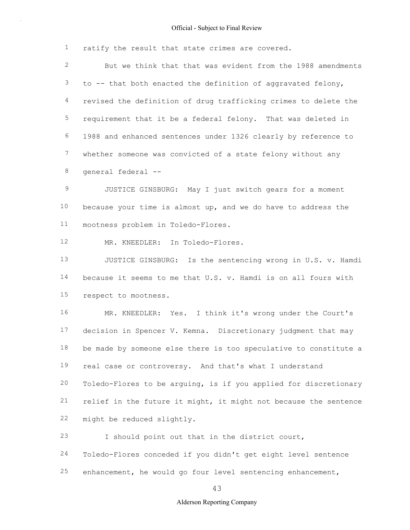1 ratify the result that state crimes are covered.

2 3 4 5 6 7 8 But we think that that was evident from the 1988 amendments to -- that both enacted the definition of aggravated felony, revised the definition of drug trafficking crimes to delete the requirement that it be a federal felony. That was deleted in 1988 and enhanced sentences under 1326 clearly by reference to whether someone was convicted of a state felony without any general federal --

9 10 11 JUSTICE GINSBURG: May I just switch gears for a moment because your time is almost up, and we do have to address the mootness problem in Toledo-Flores.

12 MR. KNEEDLER: In Toledo-Flores.

13 14 15 JUSTICE GINSBURG: Is the sentencing wrong in U.S. v. Hamdi because it seems to me that U.S. v. Hamdi is on all fours with respect to mootness.

16 17 18 19 20 21 22 MR. KNEEDLER: Yes. I think it's wrong under the Court's decision in Spencer V. Kemna. Discretionary judgment that may be made by someone else there is too speculative to constitute a real case or controversy. And that's what I understand Toledo-Flores to be arguing, is if you applied for discretionary relief in the future it might, it might not because the sentence might be reduced slightly.

23 I should point out that in the district court,

24 25 Toledo-Flores conceded if you didn't get eight level sentence enhancement, he would go four level sentencing enhancement,

43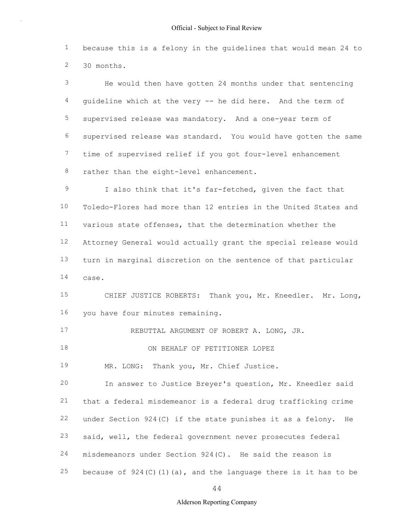1 2 because this is a felony in the guidelines that would mean 24 to 30 months.

3 4 5 6 7 8 He would then have gotten 24 months under that sentencing guideline which at the very -- he did here. And the term of supervised release was mandatory. And a one-year term of supervised release was standard. You would have gotten the same time of supervised relief if you got four-level enhancement rather than the eight-level enhancement.

9 10 11 12 13 14 I also think that it's far-fetched, given the fact that Toledo-Flores had more than 12 entries in the United States and various state offenses, that the determination whether the Attorney General would actually grant the special release would turn in marginal discretion on the sentence of that particular case.

15 16 CHIEF JUSTICE ROBERTS: Thank you, Mr. Kneedler. Mr. Long, you have four minutes remaining.

17 REBUTTAL ARGUMENT OF ROBERT A. LONG, JR.

18 ON BEHALF OF PETITIONER LOPEZ

19 MR. LONG: Thank you, Mr. Chief Justice.

20 21 22 23 24 25 In answer to Justice Breyer's question, Mr. Kneedler said that a federal misdemeanor is a federal drug trafficking crime under Section 924(C) if the state punishes it as a felony. He said, well, the federal government never prosecutes federal misdemeanors under Section 924(C). He said the reason is because of  $924(C)(1)(a)$ , and the language there is it has to be

44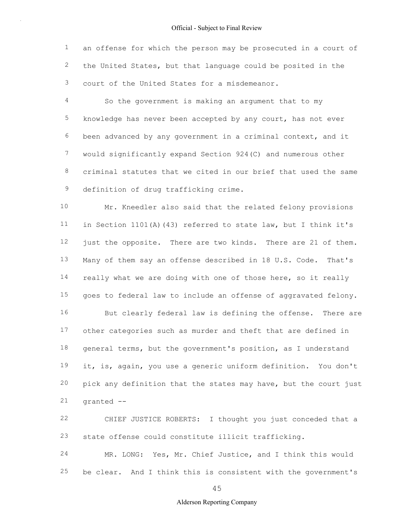1 2 3 an offense for which the person may be prosecuted in a court of the United States, but that language could be posited in the court of the United States for a misdemeanor.

4 5 6 7 8 9 So the government is making an argument that to my knowledge has never been accepted by any court, has not ever been advanced by any government in a criminal context, and it would significantly expand Section 924(C) and numerous other criminal statutes that we cited in our brief that used the same definition of drug trafficking crime.

10 11 12 13 14 15 Mr. Kneedler also said that the related felony provisions in Section 1101(A)(43) referred to state law, but I think it's just the opposite. There are two kinds. There are 21 of them. Many of them say an offense described in 18 U.S. Code. That's really what we are doing with one of those here, so it really goes to federal law to include an offense of aggravated felony.

16 17 18 19 20 21 But clearly federal law is defining the offense. There are other categories such as murder and theft that are defined in general terms, but the government's position, as I understand it, is, again, you use a generic uniform definition. You don't pick any definition that the states may have, but the court just granted --

22 23 CHIEF JUSTICE ROBERTS: I thought you just conceded that a state offense could constitute illicit trafficking.

24 25 MR. LONG: Yes, Mr. Chief Justice, and I think this would be clear. And I think this is consistent with the government's

45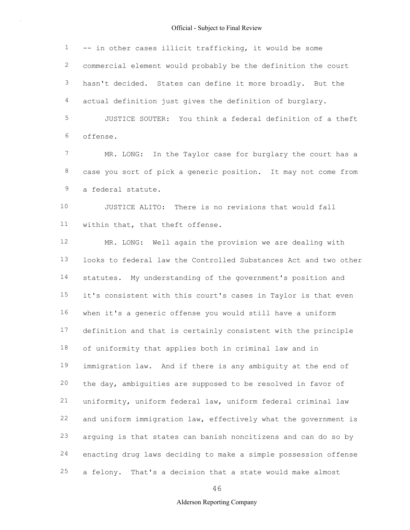1 2 3 4 -- in other cases illicit trafficking, it would be some commercial element would probably be the definition the court hasn't decided. States can define it more broadly. But the actual definition just gives the definition of burglary.

5 6 JUSTICE SOUTER: You think a federal definition of a theft offense.

7 8 9 MR. LONG: In the Taylor case for burglary the court has a case you sort of pick a generic position. It may not come from a federal statute.

10 11 JUSTICE ALITO: There is no revisions that would fall within that, that theft offense.

12 13 14 15 16 17 18 19 20 21 22 23 24 25 MR. LONG: Well again the provision we are dealing with looks to federal law the Controlled Substances Act and two other statutes. My understanding of the government's position and it's consistent with this court's cases in Taylor is that even when it's a generic offense you would still have a uniform definition and that is certainly consistent with the principle of uniformity that applies both in criminal law and in immigration law. And if there is any ambiguity at the end of the day, ambiguities are supposed to be resolved in favor of uniformity, uniform federal law, uniform federal criminal law and uniform immigration law, effectively what the government is arguing is that states can banish noncitizens and can do so by enacting drug laws deciding to make a simple possession offense a felony. That's a decision that a state would make almost

46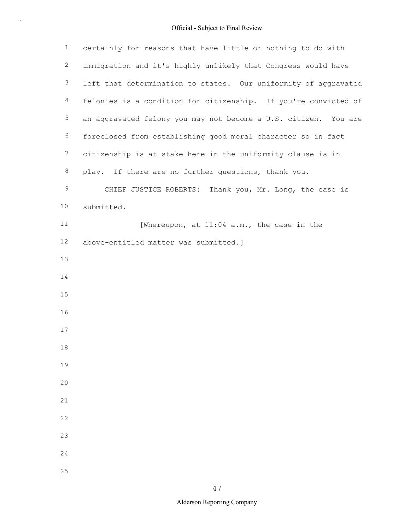| $\mathbf 1$    | certainly for reasons that have little or nothing to do with    |
|----------------|-----------------------------------------------------------------|
| $\overline{c}$ | immigration and it's highly unlikely that Congress would have   |
| 3              | left that determination to states. Our uniformity of aggravated |
| $\overline{4}$ | felonies is a condition for citizenship. If you're convicted of |
| 5              | an aggravated felony you may not become a U.S. citizen. You are |
| 6              | foreclosed from establishing good moral character so in fact    |
| $7\phantom{.}$ | citizenship is at stake here in the uniformity clause is in     |
| $\,8\,$        | play. If there are no further questions, thank you.             |
| 9              | CHIEF JUSTICE ROBERTS: Thank you, Mr. Long, the case is         |
| 10             | submitted.                                                      |
| 11             | [Whereupon, at 11:04 a.m., the case in the                      |
| 12             | above-entitled matter was submitted.]                           |
| 13             |                                                                 |
| 14             |                                                                 |
| 15             |                                                                 |
| 16             |                                                                 |
| 17             |                                                                 |
| 18             |                                                                 |
| 19             |                                                                 |
| 20             |                                                                 |
| 21             |                                                                 |
| 22             |                                                                 |
| 23             |                                                                 |
| 24             |                                                                 |
| 25             |                                                                 |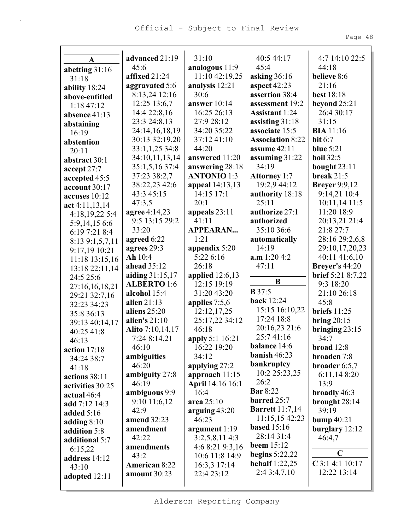|                               | advanced 21:19          | 31:10                                | 40:5 44:17                 | 4:7 14:10 22:5           |
|-------------------------------|-------------------------|--------------------------------------|----------------------------|--------------------------|
| A                             | 45:6                    | analogous 11:9                       | 45:4                       | 44:18                    |
| abetting $31:16$              | affixed 21:24           | 11:10 42:19,25                       | asking 36:16               | believe 8:6              |
| 31:18                         | aggravated 5:6          | analysis 12:21                       | aspect 42:23               | 21:16                    |
| ability 18:24                 | 8:13,24 12:16           | 30:6                                 | assertion 38:4             | best 18:18               |
| above-entitled                | 12:25 13:6,7            | answer 10:14                         | assessment 19:2            | beyond $25:21$           |
| 1:18 47:12<br>absence $41:13$ | 14:4 22:8,16            | 16:25 26:13                          | <b>Assistant 1:24</b>      | 26:4 30:17               |
|                               | 23:3 24:8,13            | 27:9 28:12                           | assisting $31:18$          | 31:15                    |
| abstaining<br>16:19           | 24:14,16,18,19          | 34:20 35:22                          | associate 15:5             | <b>BIA</b> 11:16         |
| abstention                    | 30:13 32:19,20          | 37:12 41:10                          | <b>Association 8:22</b>    | bit $6:7$                |
| 20:11                         | 33:1,1,25 34:8          | 44:20                                | assume 42:11               | blue $5:21$              |
| abstract 30:1                 | 34:10,11,13,14          | answered 11:20                       | assuming $31:22$           | <b>boil</b> 32:5         |
| accept 27:7                   | 35:1,5,16 37:4          | answering 28:18                      | 34:19                      | bought $23:11$           |
| accepted 45:5                 | 37:23 38:2,7            | <b>ANTONIO 1:3</b>                   | <b>Attorney 1:7</b>        | break $21:5$             |
| account $30:17$               | 38:22,23 42:6           | appeal 14:13,13                      | 19:2,9 44:12               | <b>Breyer</b> 9:9,12     |
| accuses $10:12$               | 43:3 45:15              | 14:15 17:1                           | authority 18:18            | 9:14,21 10:4             |
| act 4:11,13,14                | 47:3,5                  | 20:1                                 | 25:11                      | 10:11,14 11:5            |
| 4:18,19,22 5:4                | agree 4:14,23           | appeals 23:11                        | authorize 27:1             | 11:20 18:9               |
| 5:9,14,15 6:6                 | 9:5 13:15 29:2          | 41:11                                | authorized                 | 20:13,21 21:4            |
| 6:19 7:21 8:4                 | 33:20                   | <b>APPEARAN</b>                      | 35:10 36:6                 | 21:8 27:7                |
| 8:139:1,5,7,11                | agreed 6:22             | 1:21                                 | automatically              | 28:16 29:2,6,8           |
| 9:17,19 10:21                 | agrees 29:3             | appendix $5:20$                      | 14:19                      | 29:10,17,20,23           |
| 11:18 13:15,16                | Ah 10:4                 | 5:22 6:16                            | a.m 1:20 4:2               | 40:11 41:6,10            |
| 13:18 22:11,14                | ahead 35:12             | 26:18                                | 47:11                      | <b>Breyer's 44:20</b>    |
| 24:5 25:6                     | aiding 31:15,17         | applied $12:6,13$                    |                            | <b>brief</b> 5:21 8:7,22 |
| 27:16,16,18,21                | <b>ALBERTO</b> 1:6      | 12:15 19:19                          | B                          | 9:3 18:20                |
| 29:21 32:7,16                 | alcohol 15:4            | 31:20 43:20                          | <b>B</b> 37:5              | 21:10 26:18              |
| 32:23 34:23                   | alien $21:13$           | applies $7:5,6$                      | <b>back</b> 12:24          | 45:8                     |
| 35:8 36:13                    | aliens 25:20            | 12:12,17,25                          | 15:15 16:10,22             | briefs $11:25$           |
| 39:13 40:14,17                | alien's 21:10           | 25:17,22 34:12                       | 17:24 18:8                 | bring $20:15$            |
| 40:25 41:8                    | <b>Alito</b> 7:10,14,17 | 46:18                                | 20:16,23 21:6<br>25:741:16 | bringing $23:15$         |
| 46:13                         | 7:24 8:14,21            | apply 5:1 16:21                      | <b>balance</b> 14:6        | 34:7                     |
| action 17:18                  | 46:10                   | 16:22 19:20                          | banish $46:23$             | broad 12:8               |
| 34:24 38:7                    | ambiguities             | 34:12                                | bankruptcy                 | broaden 7:8              |
| 41:18                         | 46:20                   | applying 27:2                        | 10:2 25:23,25              | broader $6:5,7$          |
| actions 38:11                 | ambiguity 27:8<br>46:19 | approach $11:15$<br>April 14:16 16:1 | 26:2                       | 6:11,148:20<br>13:9      |
| activities 30:25              | ambiguous 9:9           | 16:4                                 | <b>Bar</b> 8:22            | broadly 46:3             |
| actual 46:4                   | $9:10$ 11:6,12          | area 25:10                           | barred $25:7$              | brought $28:14$          |
| add 7:12 14:3                 | 42:9                    | arguing $43:20$                      | <b>Barrett</b> 11:7,14     | 39:19                    |
| added $5:16$                  | amend 32:23             | 46:23                                | 11:15,15 42:23             | bump $40:21$             |
| adding $8:10$                 | amendment               | argument $1:19$                      | <b>based</b> 15:16         | burglary $12:12$         |
| addition 5:8                  | 42:22                   | 3:2,5,8,114:3                        | 28:14 31:4                 | 46:4,7                   |
| additional 5:7                | amendments              | 4:68:219:3,16                        | beem $15:12$               |                          |
| 6:15,22<br>address 14:12      | 43:2                    | 10:6 11:8 14:9                       | begins $5:22,22$           | $\mathbf C$              |
| 43:10                         | <b>American 8:22</b>    | 16:3,3 17:14                         | <b>behalf</b> 1:22,25      | $C$ 3:1 4:1 10:17        |
| adopted 12:11                 | amount 30:23            | 22:4 23:12                           | 2:43:4,7,10                | 12:22 13:14              |
|                               |                         |                                      |                            |                          |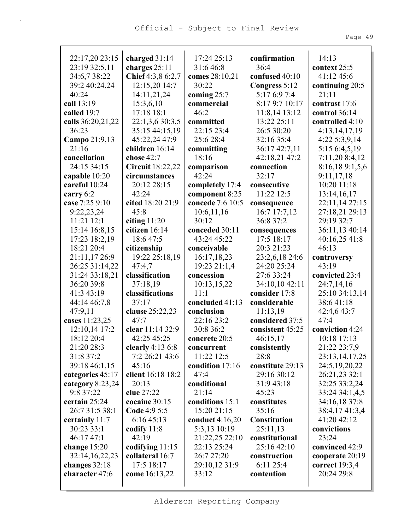| 22:17,20 23:15     | charged $31:14$         | 17:24 25:13       | confirmation        | 14:13            |
|--------------------|-------------------------|-------------------|---------------------|------------------|
| 23:19 32:5,11      | charges 25:11           | 31:6 46:8         | 36:4                | context 25:5     |
| 34:6,7 38:22       | Chief 4:3,8 6:2,7       | comes 28:10,21    | confused 40:10      | 41:12 45:6       |
| 39:2 40:24,24      | 12:15,20 14:7           | 30:22             | Congress 5:12       | continuing 20:5  |
| 40:24              | 14:11,21,24             | coming 25:7       | 5:17 6:9 7:4        | 21:11            |
| call 13:19         | 15:3,6,10               | commercial        | 8:17 9:7 10:17      | contrast 17:6    |
| called 19:7        | 17:18 18:1              | 46:2              | 11:8,14 13:12       | control 36:14    |
| calls 36:20,21,22  | 22:1,3,6 30:3,5         | committed         | 13:22 25:11         | controlled 4:10  |
| 36:23              | 35:15 44:15,19          | 22:15 23:4        | 26:5 30:20          | 4:13,14,17,19    |
| Campo 21:9,13      | 45:22,24 47:9           | 25:6 28:4         | 32:16 35:4          | 4:22 5:3,9,14    |
| 21:16              | children 16:14          | committing        | 36:17 42:7,11       | 5:15 6:4,5,19    |
| cancellation       | chose 42:7              | 18:16             | 42:18,21 47:2       | 7:11,20 8:4,12   |
| 24:15 34:15        | <b>Circuit</b> 18:22,22 | comparison        | connection          | 8:16,189:1,5,6   |
| capable 10:20      | circumstances           | 42:24             | 32:17               | 9:11,17,18       |
| careful 10:24      | 20:12 28:15             | completely 17:4   | consecutive         | 10:20 11:18      |
| carry 6:2          | 42:24                   | component 8:25    | 11:22 12:5          | 13:14,16,17      |
| case 7:25 9:10     | cited 18:20 21:9        | concede 7:6 10:5  | consequence         | 22:11,14 27:15   |
| 9:22,23,24         | 45:8                    | 10:6,11,16        | 16:7 17:7,12        | 27:18,21 29:13   |
| $11:21$ $12:1$     | citing $11:20$          | 30:12             | 36:8 37:2           | 29:19 32:7       |
| 15:14 16:8,15      | citizen 16:14           | conceded 30:11    | consequences        | 36:11,13 40:14   |
| 17:23 18:2,19      | 18:6 47:5               | 43:24 45:22       | 17:5 18:17          | 40:16,25 41:8    |
| 18:21 20:4         | citizenship             | conceivable       | 20:3 21:23          | 46:13            |
| 21:11,17 26:9      | 19:22 25:18,19          | 16:17,18,23       | 23:2,6,18 24:6      | controversy      |
| 26:25 31:14,22     | 47:4,7                  | 19:23 21:1,4      | 24:20 25:24         | 43:19            |
| 31:24 33:18,21     | classification          | concession        | 27:6 33:24          | convicted 23:4   |
| 36:20 39:8         | 37:18,19                | 10:13,15,22       | 34:10,10 42:11      | 24:7,14,16       |
| 41:3 43:19         | classifications         | 11:1              | consider 17:8       | 25:10 34:13,14   |
| 44:14 46:7,8       | 37:17                   | concluded 41:13   | considerable        | 38:641:18        |
| 47:9,11            | clause 25:22,23         | conclusion        | 11:13,19            | 42:4,6 43:7      |
| cases 11:23,25     | 47:7                    | 22:16 23:2        | considered 37:5     | 47:4             |
| 12:10,14 17:2      | clear 11:14 32:9        | 30:8 36:2         | consistent 45:25    | conviction 4:24  |
| 18:12 20:4         | 42:25 45:25             | concrete 20:5     | 46:15,17            | 10:18 17:13      |
| 21:20 28:3         | clearly $4:136:8$       | concurrent        | consistently        | 21:22 23:7,9     |
| 31:8 37:2          | 7:2 26:21 43:6          | 11:22 12:5        | 28:8                | 23:13,14,17,25   |
| 39:18 46:1,15      | 45:16                   | condition 17:16   | constitute 29:13    | 24:5, 19, 20, 22 |
| categories 45:17   | client 16:18 18:2       | 47:4              | 29:16 30:12         | 26:21,23 32:1    |
| category $8:23,24$ | 20:13                   | conditional       | 31:9 43:18          | 32:25 33:2,24    |
| 9:8 37:22          | clue 27:22              | 21:14             | 45:23               | 33:24 34:1,4,5   |
| certain 25:24      | cocaine 30:15           | conditions 15:1   | constitutes         | 34:16,18 37:8    |
| 26:7 31:5 38:1     | <b>Code</b> 4:9 5:5     | 15:20 21:15       | 35:16               | 38:4,1741:3,4    |
| certainly 11:7     | 6:1645:13               | conduct $4:16,20$ | <b>Constitution</b> | 41:20 42:12      |
| 30:23 33:1         | codify $11:8$           | 5:3,13 10:19      | 25:11,13            | convictions      |
| 46:17 47:1         | 42:19                   | 21:22,25 22:10    | constitutional      | 23:24            |
| change $15:20$     | codifying 11:15         | 22:13 25:24       | 25:16 42:10         | convinced 42:9   |
| 32:14,16,22,23     | collateral 16:7         | 26:7 27:20        | construction        | cooperate 20:19  |
| changes 32:18      | 17:5 18:17              | 29:10,12 31:9     | 6:11 25:4           | correct $19:3,4$ |
| character 47:6     | come 16:13,22           | 33:12             | contention          | 20:24 29:8       |
|                    |                         |                   |                     |                  |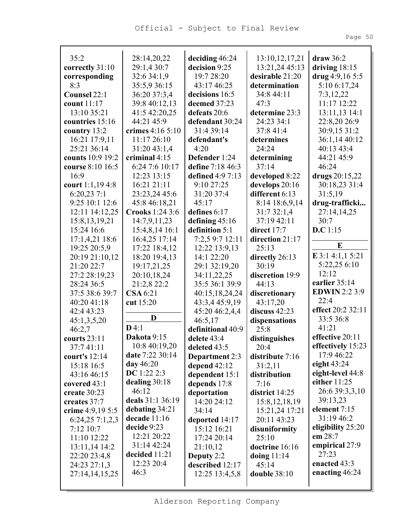| 35:2                   | 28:14,20,22      | deciding $46:24$                        | 13:10, 12, 17, 21       | draw 36:2                             |
|------------------------|------------------|-----------------------------------------|-------------------------|---------------------------------------|
| correctly 31:10        | 29:1,4 30:7      | decision 9:25                           | 13:21,24 45:13          | driving $18:15$                       |
| corresponding          | 32:6 34:1,9      | 19:7 28:20                              | desirable 21:20         | drug $4:9,165:5$                      |
| 8:3                    | 35:5,9 36:15     | 43:17 46:25                             | determination           | 5:10 6:17,24                          |
| Counsel 22:1           | 36:20 37:3,4     | decisions 16:5                          | 34:8 44:11              | 7:3,12,22                             |
| count 11:17            | 39:8 40:12,13    | deemed 37:23                            | 47:3                    | 11:17 12:22                           |
| 13:10 35:21            | 41:5 42:20,25    | defeats 20:6                            | determine 23:3          | 13:11,13 14:1                         |
| countries 15:16        | 44:21 45:9       | defendant 30:24                         | 24:23 34:1              | 22:8,20 26:9                          |
| country 13:2           | crimes 4:16 5:10 | 31:4 39:14                              | 37:8 41:4               | 30:9,15 31:2                          |
| 16:21 17:9,11          | 11:17 26:10      | defendant's                             | determines              | 36:1,14 40:12                         |
| 25:21 36:14            | 31:20 43:1,4     | 4:20                                    | 24:24                   | 40:13 43:4                            |
| counts 10:9 19:2       | criminal $4:15$  | Defender 1:24                           | determining             | 44:21 45:9                            |
| course 8:10 16:5       | 6:24 7:6 10:17   | define 7:18 46:3                        | 37:14                   | 46:24                                 |
| 16:9                   | 12:23 13:15      | defined 4:9 7:13                        | developed 8:22          | drugs 20:15,22                        |
| court 1:1,19 4:8       | 16:21 21:11      | 9:10 27:25                              | develops 20:16          | 30:18,23 31:4                         |
| 6:20,237:1             | 23:23,24 45:6    | 31:20 37:4                              | different 6:13          | 31:5,19                               |
| 9:25 10:1 12:6         | 45:8 46:18,21    | 45:17                                   | 8:14 18:6,9,14          | drug-trafficki                        |
| 12:11 14:12,25         | Crooks 1:24 3:6  | defines 6:17                            | 31:7 32:1,4             | 27:14,14,25                           |
| 15:8, 13, 19, 21       | 14:7,9,11,23     | defining $45:16$                        | 37:19 42:11             | 30:7                                  |
| 15:24 16:6             | 15:4,8,14 16:1   | definition 5:1                          | direct 17:7             | D.C 1:15                              |
| 17:1,4,21 18:6         | 16:4,25 17:14    | 7:2,5 9:7 12:11                         | direction 21:17         | E                                     |
| 19:25 20:5,9           | 17:22 18:4,12    | 12:22 13:9,13                           | 25:13                   |                                       |
| 20:19 21:10,12         | 18:20 19:4,13    | 14:1 22:20                              | directly 26:13          | E 3:1 4:1,1 5:21                      |
| 21:20 22:7             | 19:17,21,25      | 29:1 32:19,20                           | 30:19                   | 5:22,25 6:10<br>12:12                 |
| 27:2 28:19,23          | 20:10,18,24      | 34:11,22,25                             | discretion 19:9         |                                       |
| 28:24 36:5             | 21:2,8 22:2      | 35:5 36:1 39:9                          | 44:13                   | earlier 35:14<br><b>EDWIN 2:2 3:9</b> |
| 37:5 38:6 39:7         | <b>CSA</b> 6:21  | 40:15,18,24,24                          | discretionary           | 22:4                                  |
| 40:20 41:18            | cut 15:20        | 43:3,4 45:9,19                          | 43:17,20                | effect 20:2 32:11                     |
| 42:4 43:23             | D                | 45:20 46:2,4,4                          | discuss 42:23           | 33:5 36:8                             |
| 45:1,3,5,20            | D4:1             | 46:5,17                                 | dispensations           | 41:21                                 |
| 46:2,7<br>courts 23:11 | Dakota 9:15      | definitional 40:9                       | 25:8                    | effective 20:11                       |
| 37:741:11              | 10:8 40:19,20    | delete 43:4<br>deleted 43:5             | distinguishes           | effectively 15:23                     |
| court's $12:14$        | date 7:22 30:14  |                                         | 20:4<br>distribute 7:16 | 17:9 46:22                            |
| 15:18 16:5             | day 46:20        | <b>Department</b> 2:3<br>depend $42:12$ | 31:2,11                 | eight $43:24$                         |
| 43:16 46:15            | DC 1:22 2:3      | dependent 15:1                          | distribution            | eight-level 44:8                      |
| covered 43:1           | dealing $30:18$  | depends 17:8                            | 7:16                    | either $11:25$                        |
| create $30:23$         | 46:12            | deportation                             | district 14:25          | 26:6 39:3,3,10                        |
| creates 37:7           | deals 31:1 36:19 | 14:20 24:12                             | 15:8, 12, 18, 19        | 39:13,23                              |
| crime 4:9,19 5:5       | debating 34:21   | 34:14                                   | 15:21,24 17:21          | element 7:15                          |
| 6:24,257:1,2,3         | decade $11:16$   | deported 14:17                          | 20:11 43:23             | 31:19 46:2                            |
| $7:12$ 10:7            | decide 9:23      | 15:12 16:21                             | disuniformity           | eligibility 25:20                     |
| 11:10 12:22            | 12:21 20:22      | 17:24 20:14                             | 25:10                   | em $28:7$                             |
| 13:11,14 14:2          | 31:14 42:24      | 21:10,12                                | doctrine 16:16          | empirical 27:9                        |
| 22:20 23:4,8           | decided 11:21    | Deputy $2:2$                            | doing $11:14$           | 27:23                                 |
| 24:23 27:1,3           | 12:23 20:4       | described 12:17                         | 45:14                   | enacted 43:3                          |
| 27:14,14,15,25         | 46:3             | 12:25 13:4,5,8                          | <b>double 38:10</b>     | enacting 46:24                        |
|                        |                  |                                         |                         |                                       |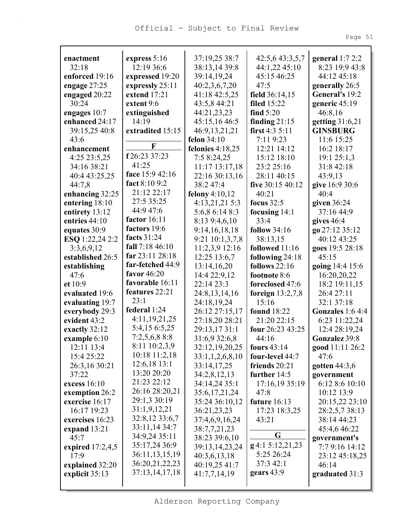Page 51

| enactment          | express $5:16$                 | 37:19,25 38:7                | 42:5,6 43:3,5,7    | general $1:72:2$  |
|--------------------|--------------------------------|------------------------------|--------------------|-------------------|
| 32:18              | 12:19 36:6                     | 38:13,14 39:8                | 44:1,22 45:10      | 8:23 19:9 43:8    |
| enforced 19:16     | expressed 19:20                | 39:14,19,24                  | 45:15 46:25        | 44:12 45:18       |
| engage 27:25       | expressly 25:11                | 40:2,3,6,7,20                | 47:5               | generally 26:5    |
| engaged 20:22      | extend 17:21                   | 41:18 42:5,25                | field 36:14,15     | General's 19:2    |
| 30:24              | extent 9:6                     | 43:5,8 44:21                 | <b>filed</b> 15:22 | generic $45:19$   |
| engages 10:7       | extinguished                   | 44:21,23,23                  | find $5:20$        | 46:8,16           |
| enhanced 24:17     | 14:19                          | 45:15,16 46:5                | finding $21:15$    | getting 31:6,21   |
| 39:15,25 40:8      | extradited 15:15               | 46:9,13,21,21                | first $4:35:11$    | <b>GINSBURG</b>   |
| 43:6               | F                              | felon $34:10$                | 7:11 9:23          | 11:6 15:25        |
| enhancement        |                                | felonies $4:18,25$           | 12:21 14:12        | 16:2 18:17        |
| 4:25 23:5,25       | f 26:23 37:23                  | 7:58:24,25                   | 15:12 18:10        | 19:1 25:1,3       |
| 34:16 38:21        | 41:25                          | 11:17 13:17,18               | 23:2 25:16         | 31:8 42:18        |
| 40:4 43:25,25      | face 15:9 42:16                | 22:16 30:13,16               | 28:11 40:15        | 43:9,13           |
| 44:7,8             | fact 8:10 9:2                  | 38:247:4                     | five 30:15 40:12   | give 16:9 30:6    |
| enhancing 32:25    | 21:12 22:17                    | felony $4:10,12$             | 40:21              | 40:4              |
| entering 18:10     | 27:5 35:25                     | 4:13,21,21 5:3               | focus $32:5$       | given $36:24$     |
| entirety 13:12     | 44:9 47:6                      | 5:6,8 6:14 8:3               | focusing $14:1$    | 37:16 44:9        |
| entries 44:10      | factor 16:11                   | 8:13 9:4,6,10                | 33:4               | gives $46:4$      |
| equates 30:9       | factors 19:6                   | 9:14, 16, 18, 18             | follow $34:16$     | go 27:12 35:12    |
| ESQ 1:22,24 2:2    | facts 31:24                    | 9:21 10:1,3,7,8              | 38:13,15           | 40:12 43:25       |
| 3:3,6,9,12         | fall $7:18\,46:10$             | 11:2,3,9 12:16               | followed 11:16     | goes 19:5 28:18   |
| established 26:5   | far $23:11\,28:18$             | 12:25 13:6,7                 | following 24:18    | 45:15             |
| establishing       | far-fetched 44:9               | 13:14,16,20                  | follows $22:16$    | going 14:4 15:6   |
| 47:6               | favor 46:20                    | 14:4 22:9,12                 | footnote 8:6       | 16:20,20,22       |
| et $10:9$          | favorable 16:11                | 22:14 23:3                   | foreclosed 47:6    | 18:2 19:11,15     |
| evaluated 19:6     | features 22:21                 | 24:8, 13, 14, 16             | foreign $13:2,7,8$ | 26:4 27:11        |
| evaluating 19:7    | 23:1                           | 24:18,19,24                  | 15:16              | 32:1 37:18        |
| everybody 29:3     | federal 1:24<br>4:11,19,21,25  | 26:12 27:15,17               | <b>found</b> 18:22 | Gonzales $1:64:4$ |
| evident 43:2       |                                | 27:18,20 28:21               | 21:20 22:15        | 6:23 11:22,24     |
| exactly 32:12      | 5:4,15 6:5,25                  | 29:13,1731:1                 | four 26:23 43:25   | 12:4 28:19,24     |
| example 6:10       | $7:2,5,6,8$ 8:8                | 31:6,9 32:6,8                | 44:16              | Gonzalez 39:8     |
| 12:11 13:4         | 8:11 10:2,3,9                  | $32:12,19,20,25$ fours 43:14 |                    | good 11:11 26:2   |
| 15:4 25:22         | 10:18 11:2,18                  | 33:1,1,2,6,8,10              | four-level 44:7    | 47:6              |
| 26:3,16 30:21      | $12:6,18$ 13:1                 | 33:14,17,25                  | friends $20:21$    | gotten $44:3,6$   |
| 37:22              | 13:20 20:20<br>21:23 22:12     | 34:2,8,12,13                 | further $14:5$     | government        |
| excess 16:10       | 26:16 28:20,21                 | 34:14,24 35:1                | 17:16,19 35:19     | 6:128:610:10      |
| exemption 26:2     | 29:1,3 30:19                   | 35:6,17,21,24                | 47:8               | 10:12 13:9        |
| exercise 16:17     |                                | 35:24 36:10,12               | future $16:13$     | 20:15,22 23:10    |
| 16:17 19:23        | 31:1,9,12,21<br>32:8,12 33:6,7 | 36:21,23,23                  | 17:23 18:3,25      | 28:2,5,7 38:13    |
| exercises 16:23    | 33:11,14 34:7                  | 37:4,6,9,16,24               | 43:21              | 38:14 44:23       |
| expand $13:21$     | 34:9,24 35:11                  | 38:7,7,21,23                 | G                  | 45:4,6 46:22      |
| 45:7               | 35:17,24 36:9                  | 38:23 39:6,10                | $g$ 4:1 5:12,21,23 | government's      |
| expired $17:2,4,5$ | 36:11,13,15,19                 | 39:13,14,23,24               | 5:25 26:24         | 7:7 9:16 14:12    |
| 17:9               | 36:20,21,22,23                 | 40:3,6,13,18                 | 37:3 42:1          | 23:12 45:18,25    |
| explained 32:20    | 37:13,14,17,18                 | 40:19,25 41:7                | gears $43:9$       | 46:14             |
| explicit $35:13$   |                                | 41:7,7,14,19                 |                    | graduated 31:3    |
|                    |                                |                              |                    |                   |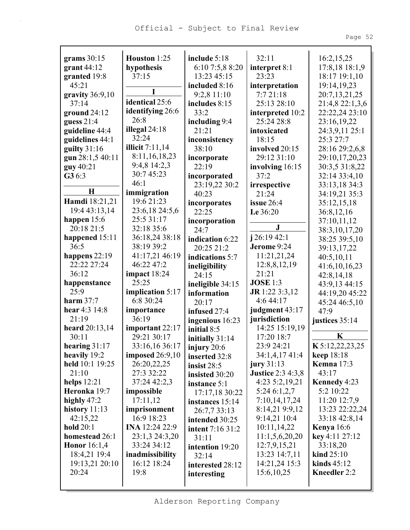|--|--|

| grams $30:15$       | Houston 1:25      | include 5:18            | 32:11                    | 16:2,15,25          |
|---------------------|-------------------|-------------------------|--------------------------|---------------------|
| grant $44:12$       | hypothesis        | 6:10 7:5,8 8:20         | interpret 8:1            | 17:8,18 18:1,9      |
| granted 19:8        | 37:15             | 13:23 45:15             | 23:23                    | 18:17 19:1,10       |
| 45:21               |                   | included 8:16           | interpretation           | 19:14,19,23         |
| gravity $36:9,10$   | I                 | 9:2,8 11:10             | 7:721:18                 | 20:7,13,21,25       |
| 37:14               | identical 25:6    | includes 8:15           | 25:13 28:10              | 21:4,8 22:1,3,6     |
| ground $24:12$      | identifying 26:6  | 33:2                    | interpreted 10:2         | 22:22,24 23:10      |
| guess $21:4$        | 26:8              | including 9:4           | 25:24 28:8               | 23:16,19,22         |
| guideline 44:4      | illegal $24:18$   | 21:21                   | intoxicated              | 24:3,9,11 25:1      |
| guidelines 44:1     | 32:24             | inconsistency           | 18:15                    | 25:3 27:7           |
| guilty $31:16$      | illicit $7:11,14$ | 38:10                   | involved 20:15           | 28:16 29:2,6,8      |
| gun 28:1,5 40:11    | 8:11, 16, 18, 23  | incorporate             | 29:12 31:10              | 29:10,17,20,23      |
| guy 40:21           | 9:4,8 14:2,3      | 22:19                   | involving 16:15          | 30:3,5 31:8,22      |
| $G3 6:3$            | 30:7 45:23        | incorporated            | 37:2                     | 32:14 33:4,10       |
|                     | 46:1              | 23:19,22 30:2           | irrespective             | 33:13,18 34:3       |
| $\mathbf H$         | immigration       | 40:23                   | 21:24                    | 34:19,21 35:3       |
| Hamdi 18:21,21      | 19:6 21:23        | incorporates            | issue $26:4$             | 35:12,15,18         |
| 19:4 43:13,14       | 23:6,18 24:5,6    | 22:25                   | <b>I.e</b> 36:20         | 36:8,12,16          |
| happen 15:6         | 25:5 31:17        | incorporation           |                          | 37:10,11,12         |
| 20:18 21:5          | 32:18 35:6        | 24:7                    | ${\bf J}$                | 38:3,10,17,20       |
| happened 15:11      | 36:18,24 38:18    | indication 6:22         | $j$ 26:19 42:1           | 38:25 39:5,10       |
| 36:5                | 38:19 39:2        | 20:25 21:2              | Jerome 9:24              | 39:13,17,22         |
| happens 22:19       | 41:17,21 46:19    | indications 5:7         | 11:21,21,24              | 40:5,10,11          |
| 22:22 27:24         | 46:22 47:2        | ineligibility           | 12:8,8,12,19             | 41:6,10,16,23       |
| 36:12               | impact $18:24$    | 24:15                   | 21:21                    | 42:8,14,18          |
| happenstance        | 25:25             | ineligible 34:15        | <b>JOSE</b> 1:3          | 43:9,13 44:15       |
| 25:9                | implication 5:17  | information             | JR 1:22 3:3,12           | 44:19,20 45:22      |
| harm $37:7$         | 6:8 30:24         | 20:17                   | 4:6 44:17                | 45:24 46:5,10       |
| hear 4:3 14:8       | importance        | infused 27:4            | judgment 43:17           | 47:9                |
| 21:19               | 36:19             | ingenious 16:23         | jurisdiction             | justices 35:14      |
| heard 20:13,14      | important 22:17   | initial 8:5             | 14:25 15:19,19           |                     |
| 30:11               | 29:21 30:17       | initially 31:14         | 17:20 18:7               | $\mathbf K$         |
| hearing 31:17       | 33:16,16 36:17    | injury 20:6             | 23:9 24:21               | K 5:12,22,23,25     |
| heavily 19:2        | imposed 26:9,10   | inserted 32:8           | 34:1,4,17 41:4           | <b>keep</b> 18:18   |
| held 10:1 19:25     | 26:20,22,25       | insist $28:5$           | jury $31:13$             | <b>Kemna</b> 17:3   |
| 21:10               | 27:3 32:22        | insisted 30:20          | <b>Justice 2:3 4:3,8</b> | 43:17               |
| helps $12:21$       | 37:24 42:2,3      | instance 5:1            | $4:23\;5:2,19,21$        | Kennedy 4:23        |
| Heronka 19:7        | impossible        | 17:17,18 30:22          | 5:246:1,2,7              | 5:2 10:22           |
| highly $47:2$       | 17:11,12          | instances 15:14         | 7:10,14,17,24            | 11:20 12:7,9        |
| history $11:13$     | imprisonment      | 26:7,7 33:13            | 8:14,21 9:9,12           | 13:23 22:22,24      |
| 42:15,22            | 16:9 18:23        | intended 30:25          | 9:14,21 10:4             | 33:18 42:8,14       |
| <b>hold</b> 20:1    | INA 12:24 22:9    | <b>intent</b> 7:16 31:2 | 10:11,14,22              | <b>Kenya</b> 16:6   |
| homestead 26:1      | 23:1,3 24:3,20    | 31:11                   | 11:1,5,6,20,20           | key 4:11 27:12      |
| <b>Honor</b> 16:1,4 | 33:24 34:12       | intention 19:20         | 12:7,9,15,21             | 33:18,20            |
| 18:4,21 19:4        | inadmissibility   | 32:14                   | 13:23 14:7,11            | kind 25:10          |
| 19:13,21 20:10      | 16:12 18:24       | interested 28:12        | 14:21,24 15:3            | kinds $45:12$       |
| 20:24               | 19:8              | interesting             | 15:6, 10, 25             | <b>Kneedler</b> 2:2 |
|                     |                   |                         |                          |                     |
|                     |                   |                         |                          |                     |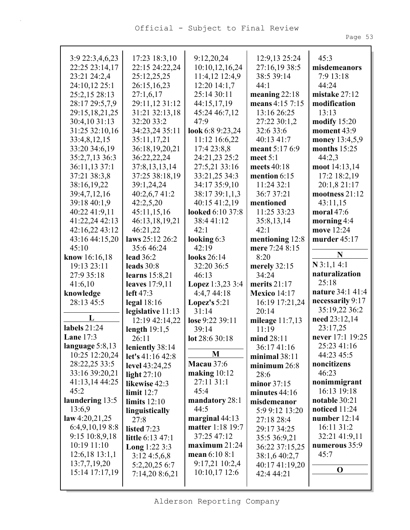|--|--|

| 3:9 22:3,4,6,23    | 17:23 18:3,10           | 9:12,20,24        | 12:9,13 25:24       | 45:3             |
|--------------------|-------------------------|-------------------|---------------------|------------------|
| 22:25 23:14,17     | 22:15 24:22,24          | 10:10,12,16,24    | 27:16,19 38:5       | misdemeanors     |
| 23:21 24:2,4       | 25:12,25,25             | 11:4,12 12:4,9    | 38:5 39:14          | 7:9 13:18        |
| 24:10,12 25:1      | 26:15,16,23             | 12:20 14:1,7      | 44:1                | 44:24            |
| 25:2,15 28:13      | 27:1,6,17               | 25:14 30:11       | meaning $22:18$     | mistake 27:12    |
|                    |                         |                   |                     |                  |
| 28:17 29:5,7,9     | 29:11,12 31:12          | 44:15,17,19       | means 4:15 7:15     | modification     |
| 29:15,18,21,25     | 31:21 32:13,18          | 45:24 46:7,12     | 13:16 26:25         | 13:13            |
| 30:4,10 31:13      | 32:20 33:2              | 47:9              | 27:22 30:1,2        | modify $15:20$   |
| 31:25 32:10,16     | 34:23,24 35:11          | look 6:8 9:23,24  | 32:6 33:6           | moment 43:9      |
| 33:4,8,12,15       | 35:11,17,21             | 11:12 16:6,22     | 40:13 41:7          | money 13:4,5,9   |
| 33:20 34:6,19      | 36:18,19,20,21          | 17:4 23:8,8       | meant 5:17 6:9      | months $15:25$   |
| 35:2,7,13 36:3     | 36:22,22,24             | 24:21,23 25:2     | meet $5:1$          | 44:2,3           |
| 36:11,13 37:1      | 37:8,13,13,14           | 27:5,21 33:16     | meets 40:18         | moot 14:13,14    |
| 37:21 38:3,8       | 37:25 38:18,19          | 33:21,25 34:3     | mention $6:15$      | 17:2 18:2,19     |
| 38:16,19,22        | 39:1,24,24              | 34:17 35:9,10     | 11:24 32:1          | 20:1,8 21:17     |
| 39:4,7,12,16       | 40:2,6,7 41:2           | 38:17 39:1,1,3    | 36:7 37:21          | mootness 21:12   |
| 39:18 40:1,9       | 42:2,5,20               | 40:15 41:2,19     | mentioned           | 43:11,15         |
| 40:22 41:9,11      | 45:11,15,16             | looked 6:10 37:8  | 11:25 33:23         | moral $47:6$     |
| 41:22,24 42:13     | 46:13,18,19,21          | 38:441:12         | 35:8,13,14          | morning $4:4$    |
| 42:16,22 43:12     | 46:21,22                | 42:1              | 42:1                | move 12:24       |
| 43:16 44:15,20     | laws 25:12 26:2         | looking 6:3       | mentioning 12:8     | murder 45:17     |
| 45:10              | 35:646:24               | 42:19             | mere 7:24 8:15      |                  |
| know 16:16,18      | <b>lead</b> 36:2        | looks 26:14       | 8:20                | N                |
| 19:13 23:11        | leads $30:8$            | 32:20 36:5        | merely $32:15$      | N3:1,14:1        |
| 27:9 35:18         | learns $15:8,21$        | 46:13             | 34:24               | naturalization   |
| 41:6,10            | leaves 17:9,11          | Lopez 1:3,23 3:4  | merits $21:17$      | 25:18            |
| knowledge          | left 47:3               | 4:4,7 44:18       | <b>Mexico</b> 14:17 | nature 34:1 41:4 |
| 28:13 45:5         | legal $18:16$           | Lopez's $5:21$    | 16:19 17:21,24      | necessarily 9:17 |
|                    | legislative 11:13       | 31:14             | 20:14               | 35:19,22 36:2    |
| L                  | 12:19 42:14,22          | lose 9:22 39:11   | mileage $11:7,13$   | need 23:12,14    |
| labels 21:24       | length $19:1,5$         | 39:14             | 11:19               | 23:17,25         |
| Lane $17:3$        | 26:11                   | lot 28:6 30:18    | mind 28:11          | never 17:1 19:25 |
| language 5:8,13    | leniently 38:14         |                   | 36:17 41:16         | 25:23 41:16      |
| 10:25 12:20,24     | let's 41:16 42:8        | M                 | minimal $38:11$     | 44:23 45:5       |
| 28:22,25 33:5      | level $43:24,25$        | <b>Macau</b> 37:6 | minimum 26:8        | noncitizens      |
| 33:16 39:20,21     | light $27:10$           | making $10:12$    | 28:6                | 46:23            |
| 41:13,14 44:25     | likewise 42:3           | 27:11 31:1        | minor $37:15$       | nonimmigrant     |
| 45:2               | limit $12:7$            | 45:4              | minutes $44:16$     | 16:13 19:18      |
| laundering 13:5    | limits $12:10$          | mandatory 28:1    | misdemeanor         | notable 30:21    |
| 13:6,9             |                         | 44:5              | 5:9 9:12 13:20      | noticed 11:24    |
| law 4:20,21,25     | linguistically<br>27:8  | marginal $44:13$  |                     | number 12:14     |
| 6:4,9,10,198:8     |                         | matter 1:18 19:7  | 27:18 28:4          | 16:11 31:2       |
| 9:15 10:8,9,18     | listed 7:23             | 37:25 47:12       | 29:17 34:25         | 32:21 41:9,11    |
| 10:19 11:10        | <b>little</b> 6:13 47:1 | maximum 21:24     | 35:5 36:9,21        | numerous 35:9    |
| $12:6,18$ $13:1,1$ | Long 1:22 3:3           | mean 6:10 8:1     | 36:22 37:15,25      | 45:7             |
|                    | 3:124:5,6,8             |                   | 38:1,6 40:2,7       |                  |
| 13:7,7,19,20       | 5:2,20,25 6:7           | 9:17,21 10:2,4    | 40:17 41:19,20      | $\mathbf 0$      |
| 15:14 17:17,19     | 7:14,20 8:6,21          | 10:10,17 12:6     | 42:4 44:21          |                  |
|                    |                         |                   |                     |                  |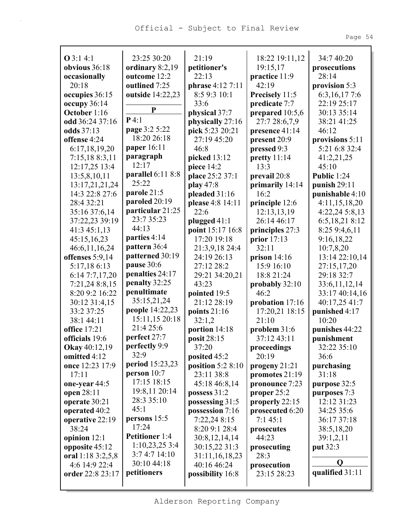**opposite** 45:12 **oral** 1:18 3:2,5,8 4:6 14:9 22:4 **order** 22:8 23:17

3:7 4:7 14:10 30:10 44:18 **petitioners**

| $Q$ 3:1 4:1         | 23:25 30:20                  | 21:19              | 18:22 19:11,12  | 34:7 40:20      |
|---------------------|------------------------------|--------------------|-----------------|-----------------|
| obvious 36:18       | ordinary 8:2,19              | petitioner's       | 19:15,17        | prosecutions    |
| occasionally        | outcome 12:2                 | 22:13              | practice 11:9   | 28:14           |
| 20:18               | outlined 7:25                | phrase 4:12 7:11   | 42:19           | provision 5:3   |
| occupies 36:15      | outside 14:22,23             | 8:5 9:3 10:1       | Precisely 11:5  | 6:3, 16, 17 7:6 |
| occupy $36:14$      | P                            | 33:6               | predicate 7:7   | 22:19 25:17     |
| October 1:16        | $P$ 4:1                      | physical 37:7      | prepared 10:5,6 | 30:13 35:14     |
| odd 36:24 37:16     |                              | physically 27:16   | 27:7 28:6,7,9   | 38:21 41:25     |
| odds 37:13          | page 3:2 5:22<br>18:20 26:18 | pick 5:23 20:21    | presence 41:14  | 46:12           |
| offense 4:24        |                              | 27:19 45:20        | present 20:9    | provisions 5:11 |
| 6:17,18,19,20       | paper 16:11                  | 46:8               | pressed 9:3     | 5:21 6:8 32:4   |
| 7:15,188:3,11       | paragraph<br>12:17           | picked 13:12       | pretty $11:14$  | 41:2,21,25      |
| 12:17,25 13:4       |                              | piece 14:2         | 13:3            | 45:10           |
| 13:5,8,10,11        | parallel 6:11 8:8<br>25:22   | place 25:2 37:1    | prevail 20:8    | Public 1:24     |
| 13:17,21,21,24      |                              | play 47:8          | primarily 14:14 | punish $29:11$  |
| 14:3 22:8 27:6      | parole 21:5                  | pleaded 31:16      | 16:2            | punishable 4:10 |
| 28:4 32:21          | paroled 20:19                | please 4:8 14:11   | principle 12:6  | 4:11,15,18,20   |
| 35:16 37:6,14       | particular 21:25             | 22:6               | 12:13,13,19     | 4:22,24 5:8,13  |
| 37:22,23 39:19      | 23:7 35:23                   | plugged $41:1$     | 26:14 46:17     | 6:5,18,218:12   |
| 41:3 45:1,13        | 44:13                        | point 15:17 16:8   | principles 27:3 | 8:25 9:4,6,11   |
| 45:15,16,23         | parties 4:14                 | 17:20 19:18        | prior 17:13     | 9:16,18,22      |
| 46:6,11,16,24       | pattern 36:4                 | 21:3,9,18 24:4     | 32:11           | 10:7,8,20       |
| offenses 5:9,14     | patterned 30:19              | 24:19 26:13        | prison $14:16$  | 13:14 22:10,14  |
| 5:17,186:13         | pause 30:6                   | 27:12 28:2         | 15:9 16:10      | 27:15,17,20     |
| 6:147:7,17,20       | penalties 24:17              | 29:21 34:20,21     | 18:8 21:24      | 29:18 32:7      |
| 7:21,24 8:8,15      | penalty 32:25                | 43:23              | probably 32:10  | 33:6,11,12,14   |
| 8:20 9:2 16:22      | penultimate                  | pointed 19:5       | 46:2            | 33:17 40:14,16  |
| 30:12 31:4,15       | 35:15,21,24                  | 21:12 28:19        | probation 17:16 | 40:17,25 41:7   |
| 33:2 37:25          | <b>people</b> 14:22,23       | points 21:16       | 17:20,21 18:15  | punished 4:17   |
| 38:1 44:11          | 15:11,15 20:18               | 32:1,2             | 21:10           | 10:20           |
| <b>office</b> 17:21 | 21:4 25:6                    | portion 14:18      | problem $31:6$  | punishes 44:22  |
| officials 19:6      | perfect 27:7                 | posit 28:15        | 37:12 43:11     | punishment      |
| Okay 40:12,19       | perfectly 9:9                | 37:20              | proceedings     | 32:22 35:10     |
| omitted 4:12        | 32:9                         | posited 45:2       | 20:19           | 36:6            |
| once 12:23 17:9     | period 15:23,23              | position $5:28:10$ | progeny 21:21   | purchasing      |
| 17:11               | person 10:7                  | 23:11 38:8         | promotes 21:19  | 31:18           |
| one-year 44:5       | 17:15 18:15                  | 45:18 46:8,14      | pronounce 7:23  | purpose 32:5    |
| open 28:11          | 19:8,11 20:14                | possess 31:2       | proper $25:2$   | purposes 7:3    |
| operate 30:21       | 28:3 35:10                   | possessing 31:5    | properly 22:15  | 12:12 31:23     |
| operated 40:2       | 45:1                         | possession 7:16    | prosecuted 6:20 | 34:25 35:6      |
| operative 22:19     | persons 15:5                 | 7:22,24 8:15       | 7:145:1         | 36:17 37:18     |
| 38:24               | 17:24                        | 8:20 9:1 28:4      | prosecutes      | 38:5,18,20      |
| opinion 12:1        | <b>Petitioner</b> 1:4        | 30:8,12,14,14      | 44:23           | 39:1,2,11       |
| opposite 45:12      | 1:10,23,253:4                | 30:15,22 31:3      | prosecuting     | put 32:3        |

**Q qualified** 31:11

31:11,16,18,23 40:16 46:24 **possibility** 16:8

28:3 **prosecution** 23:15 28:23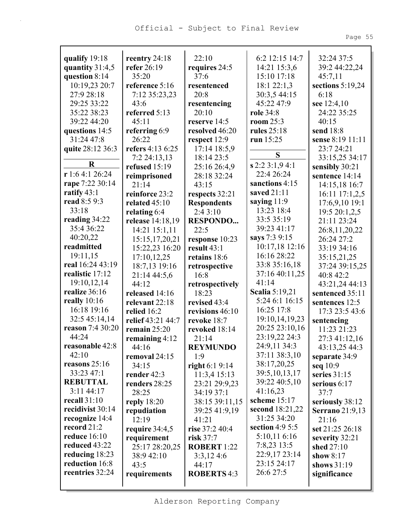| qualify 19:18    | reentry $24:18$                    | 22:10                         | 6:2 12:15 14:7        | 32:24 37:5                       |
|------------------|------------------------------------|-------------------------------|-----------------------|----------------------------------|
| quantity 31:4,5  | refer 26:19                        | requires 24:5                 | 14:21 15:3,6          | 39:2 44:22,24                    |
| question 8:14    | 35:20                              | 37:6                          | 15:10 17:18           | 45:7,11                          |
| 10:19,23 20:7    | reference 5:16                     | resentenced                   | 18:1 22:1,3           | sections $5:19,24$               |
| 27:9 28:18       |                                    | 20:8                          | 30:3,5 44:15          | 6:18                             |
| 29:25 33:22      | 7:12 35:23,23<br>43:6              |                               | 45:22 47:9            |                                  |
|                  |                                    | resentencing                  |                       | see $12:4,10$                    |
| 35:22 38:23      | referred 5:13<br>45:11             | 20:10<br>reserve 14:5         | <b>role</b> 34:8      | 24:22 35:25<br>40:15             |
| 39:22 44:20      |                                    |                               | room $25:3$           |                                  |
| questions 14:5   | referring 6:9                      | resolved 46:20                | rules 25:18           | send 18:8<br>sense 8:19 11:11    |
| 31:24 47:8       | 26:22<br>refers 4:13 6:25          | respect 12:9                  | run $15:25$           | 23:7 24:21                       |
| quite 28:12 36:3 |                                    | 17:14 18:5,9                  | S                     |                                  |
| $\bf R$          | 7:2 24:13,13                       | 18:14 23:5                    | s 2:2 3:1,9 4:1       | 33:15,25 34:17                   |
| r1:64:126:24     | refused $15:19$                    | 25:16 26:4,9<br>28:18 32:24   | 22:4 26:24            | sensibly 30:21<br>sentence 14:14 |
| rape 7:22 30:14  | reimprisoned<br>21:14              | 43:15                         | sanctions 4:15        | 14:15,18 16:7                    |
| ratify $43:1$    | reinforce 23:2                     |                               | saved 21:11           | 16:11 17:1,2,5                   |
| read 8:5 9:3     | related 45:10                      | respects 32:21                | saying $11:9$         |                                  |
| 33:18            |                                    | <b>Respondents</b><br>2:43:10 | 13:23 18:4            | 17:6,9,10 19:1                   |
| reading 34:22    | relating 6:4<br>release 14:18,19   |                               | 33:5 35:19            | 19:5 20:1,2,5<br>21:11 23:24     |
| 35:4 36:22       |                                    | <b>RESPONDO</b><br>22:5       | 39:23 41:17           |                                  |
| 40:20,22         | 14:21 15:1,11<br>15:15, 17, 20, 21 |                               | says 7:3 9:15         | 26:8,11,20,22<br>26:24 27:2      |
| readmitted       |                                    | response 10:23<br>result 43:1 | 10:17,18 12:16        | 33:19 34:16                      |
| 19:11,15         | 15:22,23 16:20<br>17:10,12,25      | retains 18:6                  | 16:16 28:22           |                                  |
| real 16:24 43:19 | 18:7,13 19:16                      |                               | 33:8 35:16,18         | 35:15,21,25<br>37:24 39:15,25    |
| realistic 17:12  | 21:14 44:5,6                       | retrospective<br>16:8         | 37:16 40:11,25        | 40:8 42:2                        |
| 19:10,12,14      | 44:12                              | retrospectively               | 41:14                 | 43:21,24 44:13                   |
| realize 36:16    | released 14:16                     | 18:23                         | <b>Scalia</b> 5:19,21 | sentenced 35:11                  |
| really $10:16$   | relevant 22:18                     | revised 43:4                  | 5:24 6:1 16:15        | sentences 12:5                   |
| 16:18 19:16      | relied $16:2$                      | revisions 46:10               | 16:25 17:8            | 17:3 23:5 43:6                   |
| 32:5 45:14,14    | relief 43:21 44:7                  | revoke 18:7                   | 19:10, 14, 19, 23     | sentencing                       |
| reason 7:4 30:20 | remain $25:20$                     | revoked 18:14                 | 20:25 23:10,16        | 11:23 21:23                      |
| 44:24            | remaining $4:12$                   | 21:14                         | 23:19,22 24:3         | 27:3 41:12,16                    |
| reasonable 42:8  | 44:16                              | <b>REYMUNDO</b>               | 24:9,11 34:3          | 43:13,25 44:3                    |
| 42:10            | removal 24:15                      | 1:9                           | 37:11 38:3,10         | separate 34:9                    |
| reasons $25:16$  | 34:15                              | right $6:19:14$               | 38:17,20,25           | seq $10:9$                       |
| 33:23 47:1       | render $42:3$                      | 11:3,4 15:13                  | 39:5, 10, 13, 17      | series $31:15$                   |
| <b>REBUTTAL</b>  | renders 28:25                      | 23:21 29:9,23                 | 39:22 40:5,10         | serious $6:17$                   |
| $3:11$ 44:17     | 28:25                              | 34:19 37:1                    | 41:16,23              | 37:7                             |
| recall 31:10     | reply $18:20$                      | 38:15 39:11,15                | scheme 15:17          | seriously 38:12                  |
| recidivist 30:14 | repudiation                        | 39:25 41:9,19                 | second 18:21,22       | <b>Serrano</b> 21:9,13           |
| recognize 14:4   | 12:19                              | 41:21                         | 31:25 34:20           | 21:16                            |
| record 21:2      | require $34:4,5$                   | rise $37:240:4$               | section $4:95:5$      | set 21:25 26:18                  |
| reduce 16:10     | requirement                        | risk $37:7$                   | 5:10,116:16           | severity 32:21                   |
| reduced 43:22    | 25:17 28:20,25                     | <b>ROBERT 1:22</b>            | $7:8,23$ 13:5         | shed 27:10                       |
| reducing $18:23$ | 38:9 42:10                         | 3:3,124:6                     | 22:9,17 23:14         | show 8:17                        |
| reduction 16:8   | 43:5                               | 44:17                         | 23:15 24:17           | shows $31:19$                    |
| reentries 32:24  | requirements                       | <b>ROBERTS 4:3</b>            | 26:6 27:5             | significance                     |
|                  |                                    |                               |                       |                                  |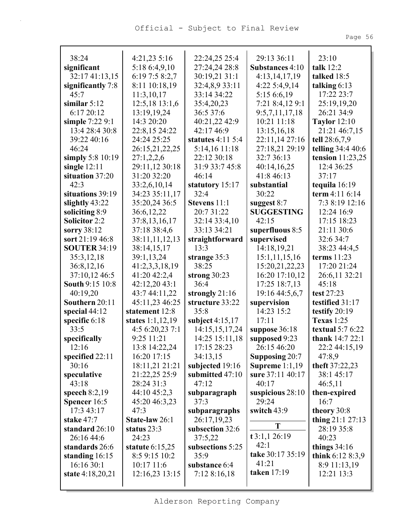| 38:24                | 4:21,23 5:16       | 22:24,25 25:4        | 29:13 36:11           | 23:10               |
|----------------------|--------------------|----------------------|-----------------------|---------------------|
| significant          | 5:18 6:4,9,10      | 27:24,24 28:8        | Substances 4:10       | talk $12:2$         |
| 32:17 41:13,15       | 6:19 7:5 8:2,7     | 30:19,21 31:1        | 4:13,14,17,19         | talked 18:5         |
| significantly 7:8    | 8:11 10:18,19      | 32:4,8,9 33:11       | 4:225:4,9,14          | talking $6:13$      |
| 45:7                 | 11:3,10,17         | 33:14 34:22          | 5:15 6:6,19           | 17:22 23:7          |
| similar $5:12$       | $12:5,18$ 13:1,6   | 35:4,20,23           | 7:21 8:4,12 9:1       | 25:19,19,20         |
| 6:17 20:12           | 13:19,19,24        | 36:5 37:6            | 9:5,7,11,17,18        | 26:21 34:9          |
| simple 7:22 9:1      | 14:3 20:20         | 40:21,22 42:9        | 10:21 11:18           | <b>Taylor</b> 12:10 |
| 13:4 28:4 30:8       | 22:8,15 24:22      | 42:17 46:9           | 13:15,16,18           | 21:21 46:7,15       |
| 39:22 40:16          | 24:24 25:25        | statutes $4:11\,5:4$ | 22:11,14 27:16        | tell 28:6,7,9       |
| 46:24                | 26:15,21,22,25     | 5:14,16 11:18        | 27:18,21 29:19        | telling 34:4 40:6   |
| simply $5:8$ 10:19   | 27:1,2,2,6         | 22:12 30:18          | 32:7 36:13            | tension 11:23,25    |
| single $12:11$       | 29:11,12 30:18     | 31:9 33:7 45:8       | 40:14,16,25           | 12:4 36:25          |
| situation 37:20      | 31:20 32:20        | 46:14                | 41:8 46:13            | 37:17               |
| 42:3                 | 33:2,6,10,14       | statutory 15:17      | substantial           | tequila 16:19       |
| situations 39:19     | 34:23 35:11,17     | 32:4                 | 30:22                 | term 4:11 6:14      |
| slightly $43:22$     | 35:20,24 36:5      | <b>Stevens</b> 11:1  | suggest $8:7$         | 7:3 8:19 12:16      |
| soliciting 8:9       | 36:6,12,22         | 20:7 31:22           | <b>SUGGESTING</b>     | 12:24 16:9          |
| <b>Solicitor 2:2</b> | 37:8,13,16,17      | 32:14 33:4,10        | 42:15                 | 17:15 18:23         |
| sorry 38:12          | 37:18 38:4,6       | 33:13 34:21          | superfluous 8:5       | 21:11 30:6          |
| sort 21:19 46:8      | 38:11,11,12,13     | straightforward      | supervised            | 32:6 34:7           |
| <b>SOUTER 34:19</b>  | 38:14,15,17        | 13:3                 | 14:18,19,21           | 38:23 44:4,5        |
| 35:3,12,18           | 39:1,13,24         | strange 35:3         | 15:1,11,15,16         | terms 11:23         |
| 36:8,12,16           | 41:2,3,3,18,19     | 38:25                | 15:20, 21, 22, 23     | 17:20 21:24         |
| 37:10,12 46:5        | 41:20 42:2,4       | strong $30:23$       | 16:20 17:10,12        | 26:6,11 32:21       |
| South 9:15 10:8      | 42:12,20 43:1      | 36:4                 | 17:25 18:7,13         | 45:18               |
| 40:19,20             | 43:7 44:11,22      | strongly 21:16       | 19:16 44:5,6,7        | test 27:23          |
| Southern 20:11       | 45:11,23 46:25     | structure 33:22      | supervision           | testified 31:17     |
| special $44:12$      | statement 12:8     | 35:8                 | 14:23 15:2            | testify $20:19$     |
| specific 6:18        | states $1:1,12,19$ | subject $4:15,17$    | 17:11                 | <b>Texas</b> 1:25   |
| 33:5                 | 4:5 6:20,23 7:1    | 14:15,15,17,24       | suppose 36:18         | textual $5:76:22$   |
| specifically         | 9:25 11:21         | 14:25 15:11,18       | supposed 9:23         | thank 14:7 22:1     |
| 12:16                | 13:8 14:22,24      | 17:15 28:23          | 26:15 46:20           | 22:2 44:15,19       |
| specified $22:11$    | 16:20 17:15        | 34:13,15             | <b>Supposing 20:7</b> | 47:8,9              |
| 30:16                | 18:11,21 21:21     | subjected 19:16      | Supreme $1:1,19$      | theft 37:22,23      |
| speculative          | 21:22,25 25:9      | submitted 47:10      | sure 37:11 40:17      | 38:1 45:17          |
| 43:18                | 28:24 31:3         | 47:12                | 40:17                 | 46:5,11             |
| speech $8:2,19$      | 44:10 45:2,3       | subparagraph         | suspicious $28:10$    | then-expired        |
| <b>Spencer</b> 16:5  | 45:20 46:3,23      | 37:3                 | 29:24                 | 16:7                |
| 17:3 43:17           | 47:3               | subparagraphs        | switch $43:9$         | theory 30:8         |
| stake 47:7           | State-law 26:1     | 26:17,19,23          | T                     | thing $21:1 27:13$  |
| standard 26:10       | status 23:3        | subsection 32:6      |                       | 28:19 35:8          |
| 26:16 44:6           | 24:23              | 37:5,22              | t3:1,126:19           | 40:23               |
| standards 26:6       | statute $6:15,25$  | subsections 5:25     | 42:1                  | things $34:16$      |
| standing $16:15$     | 8:5 9:15 10:2      | 35:9                 | take 30:17 35:19      | think $6:128:3,9$   |
| 16:16 30:1           | 10:17 11:6         | substance 6:4        | 41:21                 | 8:9 11:13,19        |
| state 4:18,20,21     | 12:16,23 13:15     | 7:128:16,18          | taken $17:19$         | 12:21 13:3          |
|                      |                    |                      |                       |                     |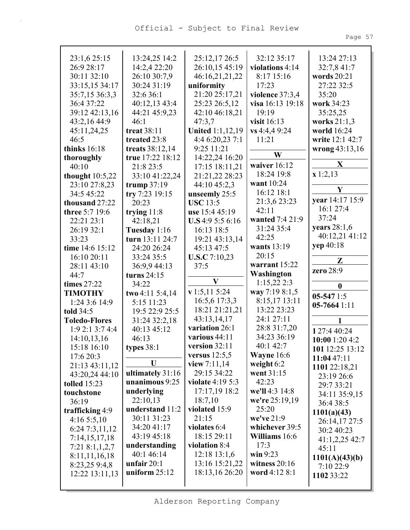| 23:1,6 25:15         | 13:24,25 14:2                      | 25:12,17 26:5                 | 32:12 35:17             | 13:24 27:13      |
|----------------------|------------------------------------|-------------------------------|-------------------------|------------------|
| 26:9 28:17           | 14:2,4 22:20                       | 26:10,15 45:19                | violations 4:14         | 32:7,8 41:7      |
| 30:11 32:10          | 26:10 30:7,9                       | 46:16,21,21,22                | 8:17 15:16              | words 20:21      |
| 33:15,15 34:17       | 30:24 31:19                        | uniformity                    | 17:23                   | 27:22 32:5       |
| 35:7,15 36:3,3       | 32:6 36:1                          | 21:20 25:17,21                | violence 37:3,4         | 35:20            |
| 36:4 37:22           | 40:12,13 43:4                      | 25:23 26:5,12                 | visa 16:13 19:18        | work 34:23       |
| 39:12 42:13,16       | 44:21 45:9,23                      | 42:10 46:18,21                | 19:19                   | 35:25,25         |
| 43:2,16 44:9         | 46:1                               | 47:3,7                        | visit 16:13             | works 21:1,3     |
| 45:11,24,25          | treat 38:11                        | <b>United 1:1,12,19</b>       | vs 4:4,4 9:24           | world 16:24      |
| 46:5                 | treated 23:8                       | 4:4 6:20,23 7:1               | 11:21                   | write 12:1 42:7  |
| thinks $16:18$       | treats 38:12,14                    | 9:25 11:21                    |                         | wrong 43:13,16   |
| thoroughly           | true 17:22 18:12                   | 14:22,24 16:20                | W                       |                  |
| 40:10                | 21:8 23:5                          | 17:15 18:11,21                | waiver $16:12$          | $\mathbf{X}$     |
| thought $10:5,22$    | 33:10 41:22,24                     | 21:21,22 28:23                | 18:24 19:8              | x 1:2,13         |
| 23:10 27:8,23        | trump $37:19$                      | 44:10 45:2,3                  | want 10:24              |                  |
| 34:5 45:22           | try 7:23 19:15                     | unseemly 25:5                 | 16:12 18:1              | Y                |
| thousand 27:22       | 20:23                              | <b>USC</b> 13:5               | 21:3,6 23:23            | year 14:17 15:9  |
| three 5:7 19:6       | trying $11:8$                      | use 15:4 45:19                | 42:11                   | 16:1 27:4        |
| 22:21 23:1           | 42:18,21                           | U.S4:95:56:16                 | wanted 7:4 21:9         | 37:24            |
| 26:19 32:1           | Tuesday 1:16                       | 16:13 18:5                    | 31:24 35:4              | years 28:1,6     |
| 33:23                | turn 13:11 24:7                    | 19:21 43:13,14                | 42:25                   | 40:12,21 41:12   |
| time 14:6 15:12      | 24:20 26:24                        | 45:13 47:5                    | wants 13:19             | yep 40:18        |
| 16:10 20:11          | 33:24 35:5                         | <b>U.S.C</b> 7:10,23          | 20:15                   |                  |
| 28:11 43:10          | 36:9,9 44:13                       | 37:5                          | warrant 15:22           | Z                |
| 44:7                 | turns $24:15$                      |                               | Washington              | zero 28:9        |
| times 27:22          | 34:22                              | $\mathbf{V}$                  | 1:15,222:3              |                  |
| <b>TIMOTHY</b>       | two 4:11 5:4,14                    | v 1:5,11 5:24                 | way 7:19 8:1,5          | $\boldsymbol{0}$ |
| 1:24 3:6 14:9        | 5:15 11:23                         | 16:5,6 17:3,3                 | 8:15,17 13:11           | $05-5471:5$      |
| told 34:5            | 19:5 22:9 25:5                     | 18:21 21:21,21                | 13:22 23:23             | $05-7664$ 1:11   |
| <b>Toledo-Flores</b> | 31:24 32:2,18                      | 43:13,14,17                   | 24:1 27:11              | 1                |
| 1:92:13:74:4         | 40:13 45:12                        | variation 26:1                |                         |                  |
|                      |                                    |                               |                         |                  |
|                      |                                    | various 44:11                 | 28:8 31:7,20            | 127:440:24       |
| 14:10,13,16          | 46:13                              |                               | 34:23 36:19             | 10:00 1:20 4:2   |
| 15:18 16:10          | types $38:1$                       | version 32:11                 | 40:1 42:7               | 101 12:25 13:12  |
| 17:6 20:3            | U                                  | versus $12:5,5$               | <b>Wayne</b> $16:6$     | 11:0447:11       |
| 21:13 43:11,12       |                                    | view $7:11,14$<br>29:15 34:22 | weight $6:2$            | 1101 22:18,21    |
| 43:20,24 44:10       | ultimately 31:16<br>unanimous 9:25 | violate 4:19 5:3              | went 31:15<br>42:23     | 23:19 26:6       |
| <b>tolled</b> 15:23  |                                    | 17:17,19 18:2                 | we'll 4:3 14:8          | 29:7 33:21       |
| touchstone           | underlying                         |                               |                         | 34:11 35:9,15    |
| 36:19                | 22:10,13<br>understand 11:2        | 18:7,10<br>violated 15:9      | we're 25:19,19<br>25:20 | 36:4 38:5        |
| trafficking 4:9      | 30:11 31:23                        | 21:15                         | we've 21:9              | 1101(a)(43)      |
| 4:165:5,10           | 34:20 41:17                        | violates 6:4                  | whichever 39:5          | 26:14,17 27:5    |
| 6:24 7:3,11,12       | 43:19 45:18                        |                               |                         | 30:2 40:23       |
| 7:14,15,17,18        | understanding                      | 18:15 29:11<br>violation 8:4  | Williams 16:6<br>17:3   | 41:1,2,25 42:7   |
| 7:218:1,1,2,7        | 40:1 46:14                         | $12:18$ 13:1,6                | win $9:23$              | 45:11            |
| 8:11,11,16,18        | unfair $20:1$                      | 13:16 15:21,22                | witness $20:16$         | 1101(A)(43)(b)   |
| 8:23,25 9:4,8        | uniform $25:12$                    | 18:13,16 26:20                | word 4:12 8:1           | 7:10 22:9        |
| 12:22 13:11,13       |                                    |                               |                         | 1102 33:22       |